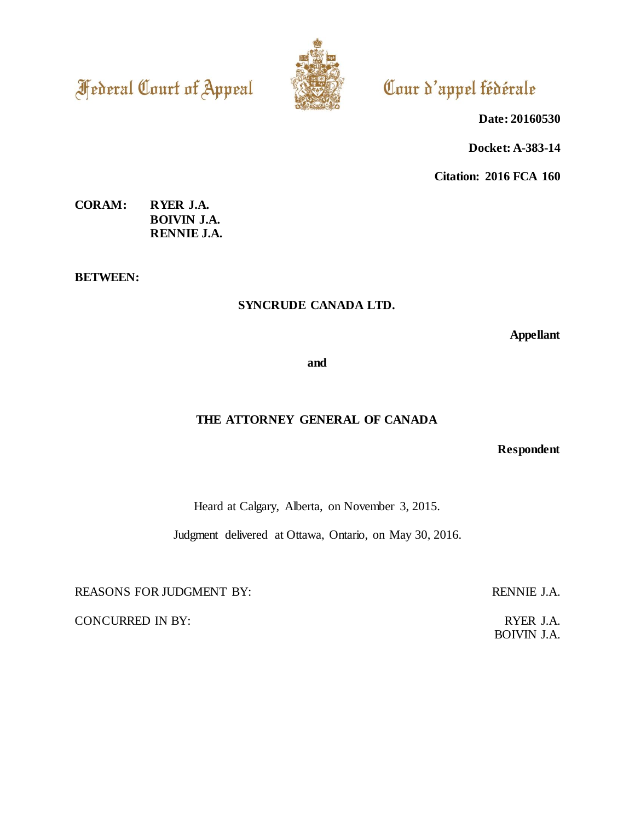**Federal Court of Appeal** 



# Cour d'appel fédérale

**Date: 20160530**

**Docket: A-383-14**

**Citation: 2016 FCA 160**

# **CORAM: RYER J.A. BOIVIN J.A. RENNIE J.A.**

**BETWEEN:**

# **SYNCRUDE CANADA LTD.**

**Appellant**

**and**

# **THE ATTORNEY GENERAL OF CANADA**

**Respondent**

Heard at Calgary, Alberta, on November 3, 2015.

Judgment delivered at Ottawa, Ontario, on May 30, 2016.

REASONS FOR JUDGMENT BY: RENNIE J.A.

CONCURRED IN BY: RYER J.A.

BOIVIN J.A.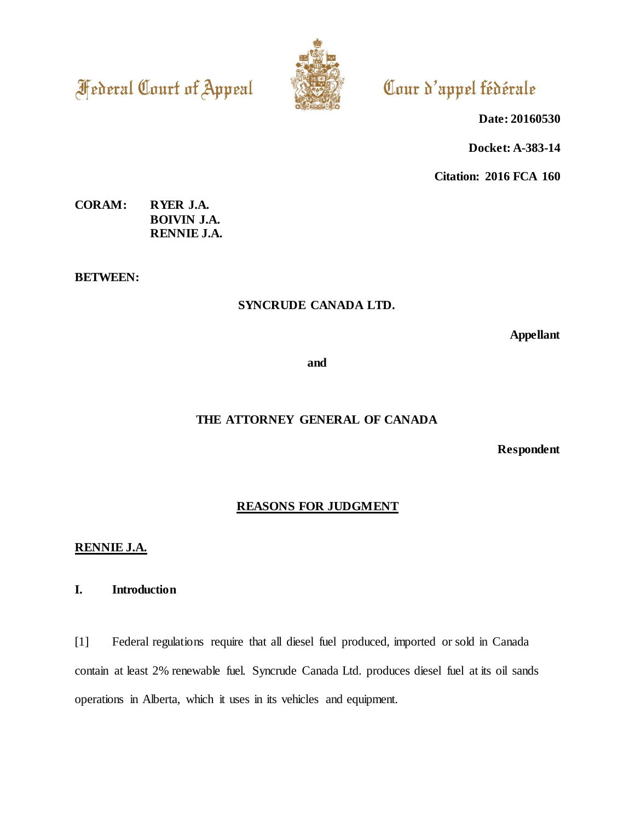**Federal Court of Appeal** 



# Cour d'appel fédérale

**Date: 20160530**

**Docket: A-383-14**

**Citation: 2016 FCA 160**

**CORAM: RYER J.A. BOIVIN J.A. RENNIE J.A.**

**BETWEEN:**

# **SYNCRUDE CANADA LTD.**

**Appellant**

**and**

# **THE ATTORNEY GENERAL OF CANADA**

**Respondent**

# **REASONS FOR JUDGMENT**

# **RENNIE J.A.**

# **I. Introduction**

[1] Federal regulations require that all diesel fuel produced, imported or sold in Canada contain at least 2% renewable fuel. Syncrude Canada Ltd. produces diesel fuel at its oil sands operations in Alberta, which it uses in its vehicles and equipment.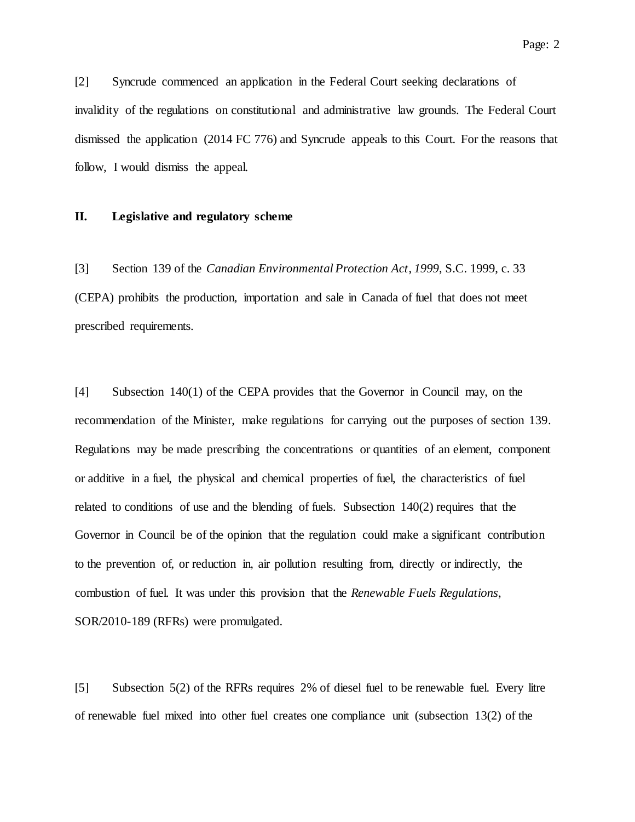[2] Syncrude commenced an application in the Federal Court seeking declarations of invalidity of the regulations on constitutional and administrative law grounds. The Federal Court dismissed the application (2014 FC 776) and Syncrude appeals to this Court. For the reasons that follow, I would dismiss the appeal.

### **II. Legislative and regulatory scheme**

[3] Section 139 of the *Canadian Environmental Protection Act*, *1999*, S.C. 1999, c. 33 (CEPA) prohibits the production, importation and sale in Canada of fuel that does not meet prescribed requirements.

[4] Subsection 140(1) of the CEPA provides that the Governor in Council may, on the recommendation of the Minister, make regulations for carrying out the purposes of section 139. Regulations may be made prescribing the concentrations or quantities of an element, component or additive in a fuel, the physical and chemical properties of fuel, the characteristics of fuel related to conditions of use and the blending of fuels. Subsection 140(2) requires that the Governor in Council be of the opinion that the regulation could make a significant contribution to the prevention of, or reduction in, air pollution resulting from, directly or indirectly, the combustion of fuel. It was under this provision that the *Renewable Fuels Regulations*, SOR/2010-189 (RFRs) were promulgated.

[5] Subsection 5(2) of the RFRs requires 2% of diesel fuel to be renewable fuel. Every litre of renewable fuel mixed into other fuel creates one compliance unit (subsection 13(2) of the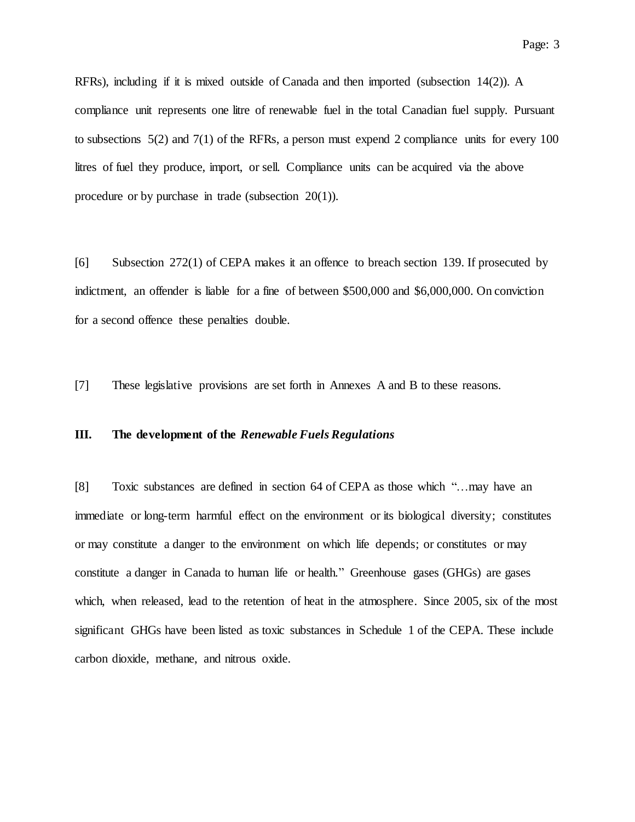RFRs), including if it is mixed outside of Canada and then imported (subsection 14(2)). A compliance unit represents one litre of renewable fuel in the total Canadian fuel supply. Pursuant to subsections 5(2) and 7(1) of the RFRs, a person must expend 2 compliance units for every 100 litres of fuel they produce, import, or sell. Compliance units can be acquired via the above procedure or by purchase in trade (subsection 20(1)).

[6] Subsection 272(1) of CEPA makes it an offence to breach section 139. If prosecuted by indictment, an offender is liable for a fine of between \$500,000 and \$6,000,000. On conviction for a second offence these penalties double.

[7] These legislative provisions are set forth in Annexes A and B to these reasons.

# **III. The development of the** *Renewable Fuels Regulations*

[8] Toxic substances are defined in section 64 of CEPA as those which "…may have an immediate or long-term harmful effect on the environment or its biological diversity; constitutes or may constitute a danger to the environment on which life depends; or constitutes or may constitute a danger in Canada to human life or health." Greenhouse gases (GHGs) are gases which, when released, lead to the retention of heat in the atmosphere. Since 2005, six of the most significant GHGs have been listed as toxic substances in Schedule 1 of the CEPA. These include carbon dioxide, methane, and nitrous oxide.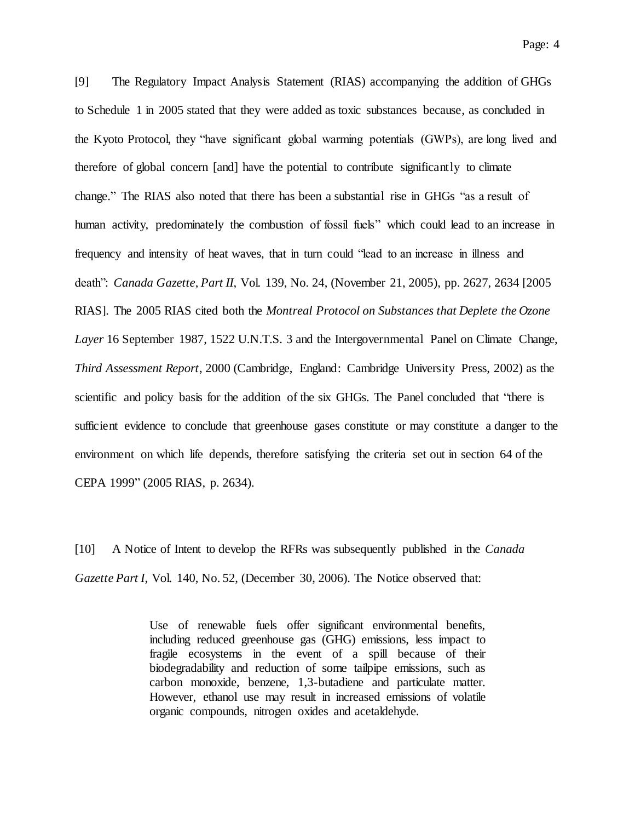[9] The Regulatory Impact Analysis Statement (RIAS) accompanying the addition of GHGs to Schedule 1 in 2005 stated that they were added as toxic substances because, as concluded in the Kyoto Protocol, they "have significant global warming potentials (GWPs), are long lived and therefore of global concern [and] have the potential to contribute significantly to climate change." The RIAS also noted that there has been a substantial rise in GHGs "as a result of human activity, predominately the combustion of fossil fuels" which could lead to an increase in frequency and intensity of heat waves, that in turn could "lead to an increase in illness and death": *Canada Gazette*, *Part II*, Vol. 139, No. 24, (November 21, 2005), pp. 2627, 2634 [2005 RIAS]. The 2005 RIAS cited both the *Montreal Protocol on Substances that Deplete the Ozone Layer* 16 September 1987, 1522 U.N.T.S. 3 and the Intergovernmental Panel on Climate Change, *Third Assessment Report*, 2000 (Cambridge, England: Cambridge University Press, 2002) as the scientific and policy basis for the addition of the six GHGs. The Panel concluded that "there is sufficient evidence to conclude that greenhouse gases constitute or may constitute a danger to the environment on which life depends, therefore satisfying the criteria set out in section 64 of the CEPA 1999" (2005 RIAS, p. 2634).

[10] A Notice of Intent to develop the RFRs was subsequently published in the *Canada Gazette Part I*, Vol. 140, No. 52, (December 30, 2006). The Notice observed that:

> Use of renewable fuels offer significant environmental benefits, including reduced greenhouse gas (GHG) emissions, less impact to fragile ecosystems in the event of a spill because of their biodegradability and reduction of some tailpipe emissions, such as carbon monoxide, benzene, 1,3-butadiene and particulate matter. However, ethanol use may result in increased emissions of volatile organic compounds, nitrogen oxides and acetaldehyde.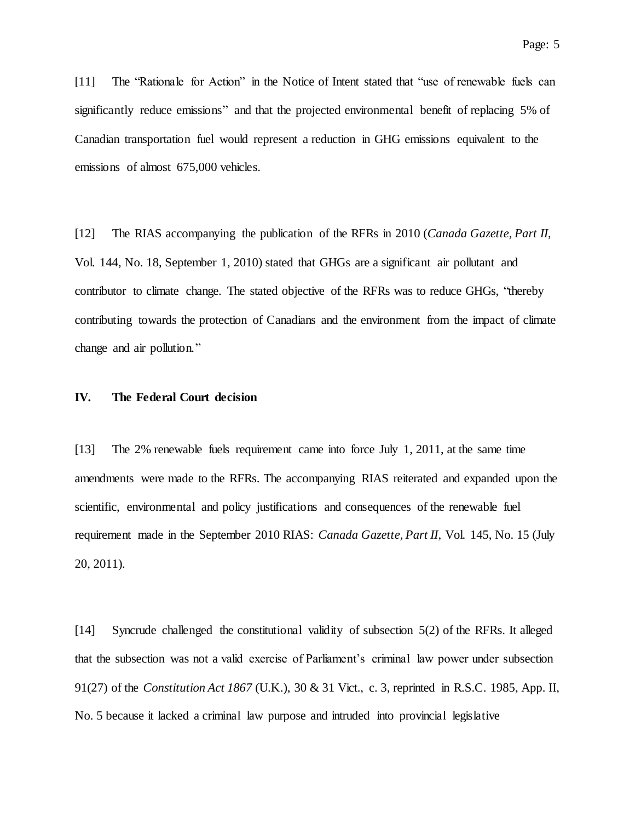[11] The "Rationale for Action" in the Notice of Intent stated that "use of renewable fuels can significantly reduce emissions" and that the projected environmental benefit of replacing 5% of Canadian transportation fuel would represent a reduction in GHG emissions equivalent to the emissions of almost 675,000 vehicles.

[12] The RIAS accompanying the publication of the RFRs in 2010 (*Canada Gazette, Part II*, Vol. 144, No. 18, September 1, 2010) stated that GHGs are a significant air pollutant and contributor to climate change. The stated objective of the RFRs was to reduce GHGs, "thereby contributing towards the protection of Canadians and the environment from the impact of climate change and air pollution."

# **IV. The Federal Court decision**

[13] The 2% renewable fuels requirement came into force July 1, 2011, at the same time amendments were made to the RFRs. The accompanying RIAS reiterated and expanded upon the scientific, environmental and policy justifications and consequences of the renewable fuel requirement made in the September 2010 RIAS: *Canada Gazette, Part II*, Vol. 145, No. 15 (July 20, 2011).

[14] Syncrude challenged the constitutional validity of subsection 5(2) of the RFRs. It alleged that the subsection was not a valid exercise of Parliament's criminal law power under subsection 91(27) of the *Constitution Act 1867* (U.K.), 30 & 31 Vict., c. 3, reprinted in R.S.C. 1985, App. II, No. 5 because it lacked a criminal law purpose and intruded into provincial legislative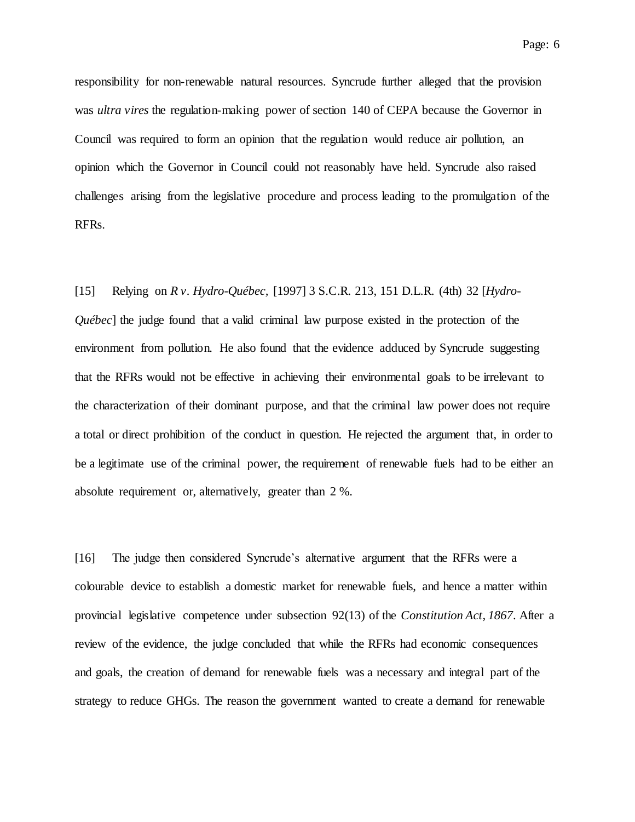Page: 6

responsibility for non-renewable natural resources. Syncrude further alleged that the provision was *ultra vires* the regulation-making power of section 140 of CEPA because the Governor in Council was required to form an opinion that the regulation would reduce air pollution, an opinion which the Governor in Council could not reasonably have held. Syncrude also raised challenges arising from the legislative procedure and process leading to the promulgation of the RFRs.

[15] Relying on *R v. Hydro-Québec,* [1997] 3 S.C.R. 213, 151 D.L.R. (4th) 32 [*Hydro-Québec*] the judge found that a valid criminal law purpose existed in the protection of the environment from pollution. He also found that the evidence adduced by Syncrude suggesting that the RFRs would not be effective in achieving their environmental goals to be irrelevant to the characterization of their dominant purpose, and that the criminal law power does not require a total or direct prohibition of the conduct in question. He rejected the argument that, in order to be a legitimate use of the criminal power, the requirement of renewable fuels had to be either an absolute requirement or, alternatively, greater than 2 %.

[16] The judge then considered Syncrude's alternative argument that the RFRs were a colourable device to establish a domestic market for renewable fuels, and hence a matter within provincial legislative competence under subsection 92(13) of the *Constitution Act, 1867*. After a review of the evidence, the judge concluded that while the RFRs had economic consequences and goals, the creation of demand for renewable fuels was a necessary and integral part of the strategy to reduce GHGs. The reason the government wanted to create a demand for renewable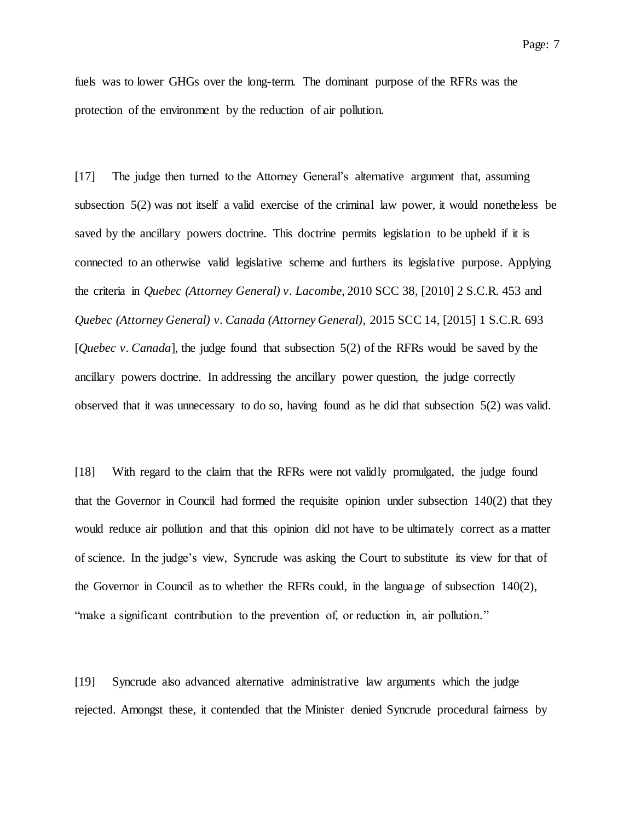fuels was to lower GHGs over the long-term. The dominant purpose of the RFRs was the protection of the environment by the reduction of air pollution.

[17] The judge then turned to the Attorney General's alternative argument that, assuming subsection 5(2) was not itself a valid exercise of the criminal law power, it would nonetheless be saved by the ancillary powers doctrine. This doctrine permits legislation to be upheld if it is connected to an otherwise valid legislative scheme and furthers its legislative purpose. Applying the criteria in *Quebec (Attorney General) v. Lacombe*, 2010 SCC 38, [2010] 2 S.C.R. 453 and *Quebec (Attorney General) v. Canada (Attorney General)*, 2015 SCC 14, [2015] 1 S.C.R. 693 [*Quebec v. Canada*], the judge found that subsection 5(2) of the RFRs would be saved by the ancillary powers doctrine. In addressing the ancillary power question, the judge correctly observed that it was unnecessary to do so, having found as he did that subsection 5(2) was valid.

[18] With regard to the claim that the RFRs were not validly promulgated, the judge found that the Governor in Council had formed the requisite opinion under subsection 140(2) that they would reduce air pollution and that this opinion did not have to be ultimately correct as a matter of science. In the judge's view, Syncrude was asking the Court to substitute its view for that of the Governor in Council as to whether the RFRs could, in the language of subsection 140(2), "make a significant contribution to the prevention of, or reduction in, air pollution."

[19] Syncrude also advanced alternative administrative law arguments which the judge rejected. Amongst these, it contended that the Minister denied Syncrude procedural fairness by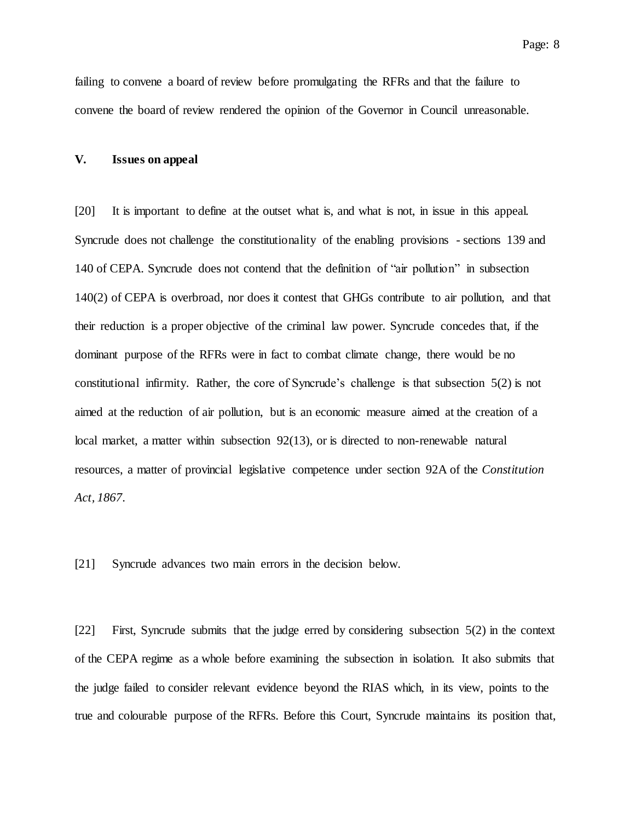failing to convene a board of review before promulgating the RFRs and that the failure to convene the board of review rendered the opinion of the Governor in Council unreasonable.

### **V. Issues on appeal**

[20] It is important to define at the outset what is, and what is not, in issue in this appeal. Syncrude does not challenge the constitutionality of the enabling provisions - sections 139 and 140 of CEPA. Syncrude does not contend that the definition of "air pollution" in subsection 140(2) of CEPA is overbroad, nor does it contest that GHGs contribute to air pollution, and that their reduction is a proper objective of the criminal law power. Syncrude concedes that, if the dominant purpose of the RFRs were in fact to combat climate change, there would be no constitutional infirmity. Rather, the core of Syncrude's challenge is that subsection 5(2) is not aimed at the reduction of air pollution, but is an economic measure aimed at the creation of a local market, a matter within subsection 92(13), or is directed to non-renewable natural resources, a matter of provincial legislative competence under section 92A of the *Constitution Act, 1867*.

[21] Syncrude advances two main errors in the decision below.

[22] First, Syncrude submits that the judge erred by considering subsection 5(2) in the context of the CEPA regime as a whole before examining the subsection in isolation. It also submits that the judge failed to consider relevant evidence beyond the RIAS which, in its view, points to the true and colourable purpose of the RFRs. Before this Court, Syncrude maintains its position that,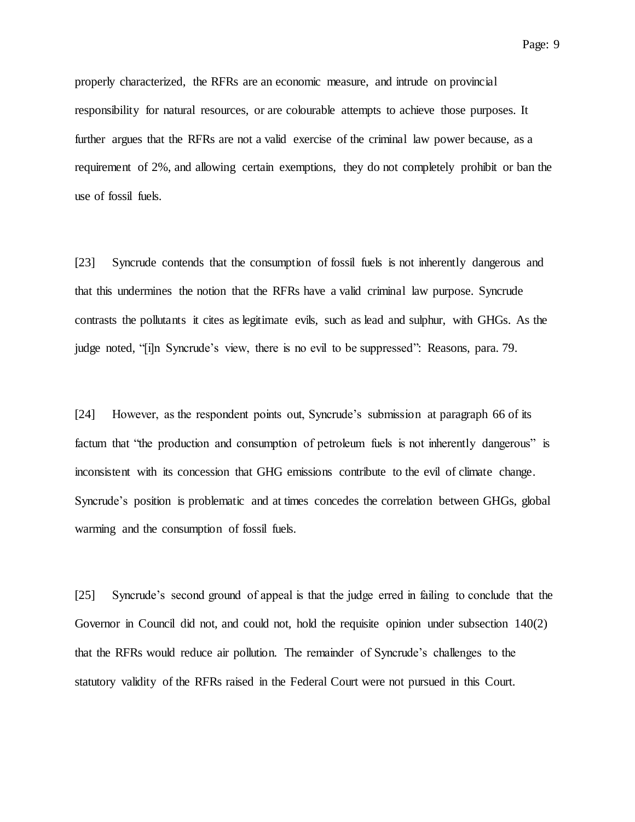properly characterized, the RFRs are an economic measure, and intrude on provincial responsibility for natural resources, or are colourable attempts to achieve those purposes. It further argues that the RFRs are not a valid exercise of the criminal law power because, as a requirement of 2%, and allowing certain exemptions, they do not completely prohibit or ban the use of fossil fuels.

[23] Syncrude contends that the consumption of fossil fuels is not inherently dangerous and that this undermines the notion that the RFRs have a valid criminal law purpose. Syncrude contrasts the pollutants it cites as legitimate evils, such as lead and sulphur, with GHGs. As the judge noted, "[i]n Syncrude's view, there is no evil to be suppressed": Reasons, para. 79.

[24] However, as the respondent points out, Syncrude's submission at paragraph 66 of its factum that "the production and consumption of petroleum fuels is not inherently dangerous" is inconsistent with its concession that GHG emissions contribute to the evil of climate change. Syncrude's position is problematic and at times concedes the correlation between GHGs, global warming and the consumption of fossil fuels.

[25] Syncrude's second ground of appeal is that the judge erred in failing to conclude that the Governor in Council did not, and could not, hold the requisite opinion under subsection 140(2) that the RFRs would reduce air pollution. The remainder of Syncrude's challenges to the statutory validity of the RFRs raised in the Federal Court were not pursued in this Court.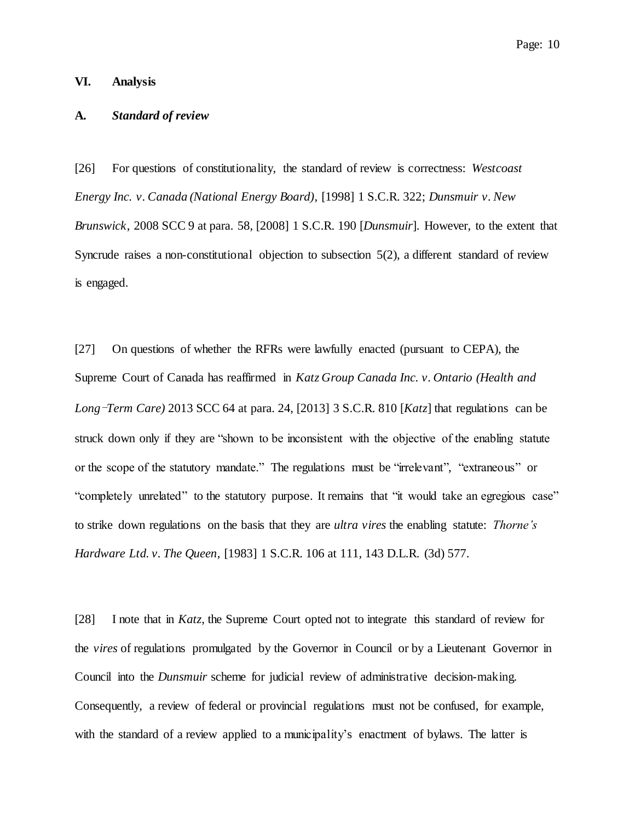# **VI. Analysis**

# **A.** *Standard of review*

[26] For questions of constitutionality, the standard of review is correctness: *Westcoast Energy Inc. v. Canada (National Energy Board)*, [1998] 1 S.C.R. 322; *Dunsmuir v. New Brunswick*, 2008 SCC 9 at para. 58, [2008] 1 S.C.R. 190 [*Dunsmuir*]. However, to the extent that Syncrude raises a non-constitutional objection to subsection 5(2), a different standard of review is engaged.

[27] On questions of whether the RFRs were lawfully enacted (pursuant to CEPA), the Supreme Court of Canada has reaffirmed in *Katz Group Canada Inc. v. Ontario (Health and Long*-*Term Care)* 2013 SCC 64 at para. 24, [2013] 3 S.C.R. 810 [*Katz*] that regulations can be struck down only if they are "shown to be inconsistent with the objective of the enabling statute or the scope of the statutory mandate." The regulations must be "irrelevant", "extraneous" or "completely unrelated" to the statutory purpose. It remains that "it would take an egregious case" to strike down regulations on the basis that they are *ultra vires* the enabling statute: *Thorne's Hardware Ltd. v. The Queen*, [1983] 1 S.C.R. 106 at 111, 143 D.L.R. (3d) 577.

[28] I note that in *Katz*, the Supreme Court opted not to integrate this standard of review for the *vires* of regulations promulgated by the Governor in Council or by a Lieutenant Governor in Council into the *Dunsmuir* scheme for judicial review of administrative decision-making. Consequently, a review of federal or provincial regulations must not be confused, for example, with the standard of a review applied to a municipality's enactment of bylaws. The latter is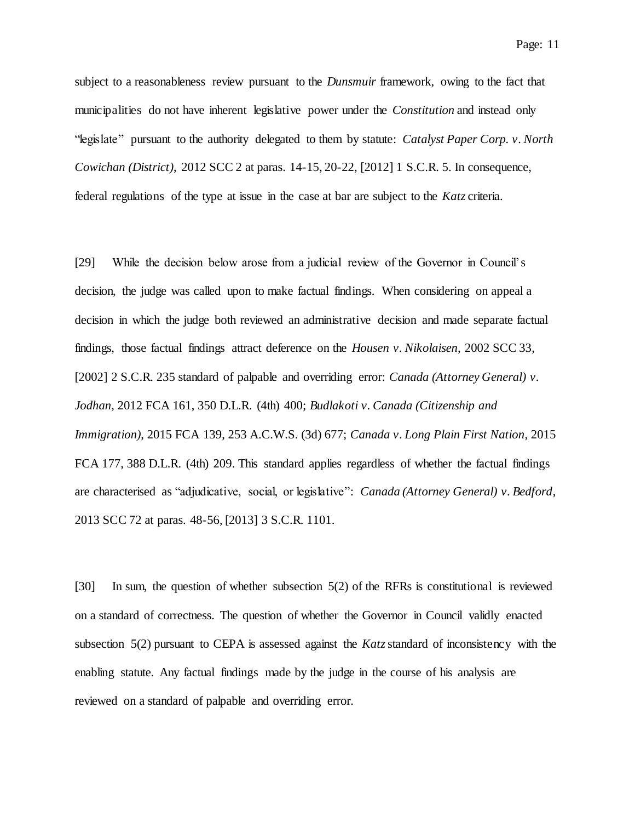subject to a reasonableness review pursuant to the *Dunsmuir* framework, owing to the fact that municipalities do not have inherent legislative power under the *Constitution* and instead only "legislate" pursuant to the authority delegated to them by statute: *Catalyst Paper Corp. v. North Cowichan (District)*, 2012 SCC 2 at paras. 14-15, 20-22, [2012] 1 S.C.R. 5. In consequence, federal regulations of the type at issue in the case at bar are subject to the *Katz* criteria.

[29] While the decision below arose from a judicial review of the Governor in Council's decision, the judge was called upon to make factual findings. When considering on appeal a decision in which the judge both reviewed an administrative decision and made separate factual findings, those factual findings attract deference on the *Housen v. Nikolaisen*, 2002 SCC 33, [2002] 2 S.C.R. 235 standard of palpable and overriding error: *Canada (Attorney General) v. Jodhan*, 2012 FCA 161, 350 D.L.R. (4th) 400; *Budlakoti v. Canada (Citizenship and Immigration)*, 2015 FCA 139, 253 A.C.W.S. (3d) 677; *Canada v. Long Plain First Nation*, 2015 FCA 177, 388 D.L.R. (4th) 209. This standard applies regardless of whether the factual findings are characterised as "adjudicative, social, or legislative": *Canada (Attorney General) v. Bedford*, 2013 SCC 72 at paras. 48-56, [2013] 3 S.C.R. 1101.

[30] In sum, the question of whether subsection 5(2) of the RFRs is constitutional is reviewed on a standard of correctness. The question of whether the Governor in Council validly enacted subsection 5(2) pursuant to CEPA is assessed against the *Katz*standard of inconsistency with the enabling statute. Any factual findings made by the judge in the course of his analysis are reviewed on a standard of palpable and overriding error.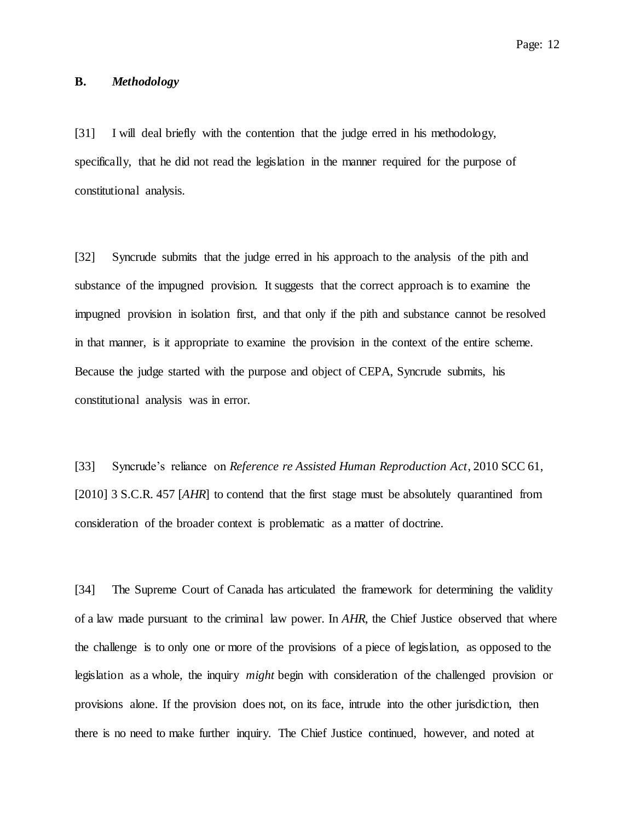# **B.** *Methodology*

[31] I will deal briefly with the contention that the judge erred in his methodology, specifically, that he did not read the legislation in the manner required for the purpose of constitutional analysis.

[32] Syncrude submits that the judge erred in his approach to the analysis of the pith and substance of the impugned provision. It suggests that the correct approach is to examine the impugned provision in isolation first, and that only if the pith and substance cannot be resolved in that manner, is it appropriate to examine the provision in the context of the entire scheme. Because the judge started with the purpose and object of CEPA, Syncrude submits, his constitutional analysis was in error.

[33] Syncrude's reliance on *Reference re Assisted Human Reproduction Act*, 2010 SCC 61, [2010] 3 S.C.R. 457 [*AHR*] to contend that the first stage must be absolutely quarantined from consideration of the broader context is problematic as a matter of doctrine.

[34] The Supreme Court of Canada has articulated the framework for determining the validity of a law made pursuant to the criminal law power. In *AHR*, the Chief Justice observed that where the challenge is to only one or more of the provisions of a piece of legislation, as opposed to the legislation as a whole, the inquiry *might* begin with consideration of the challenged provision or provisions alone. If the provision does not, on its face, intrude into the other jurisdiction, then there is no need to make further inquiry. The Chief Justice continued, however, and noted at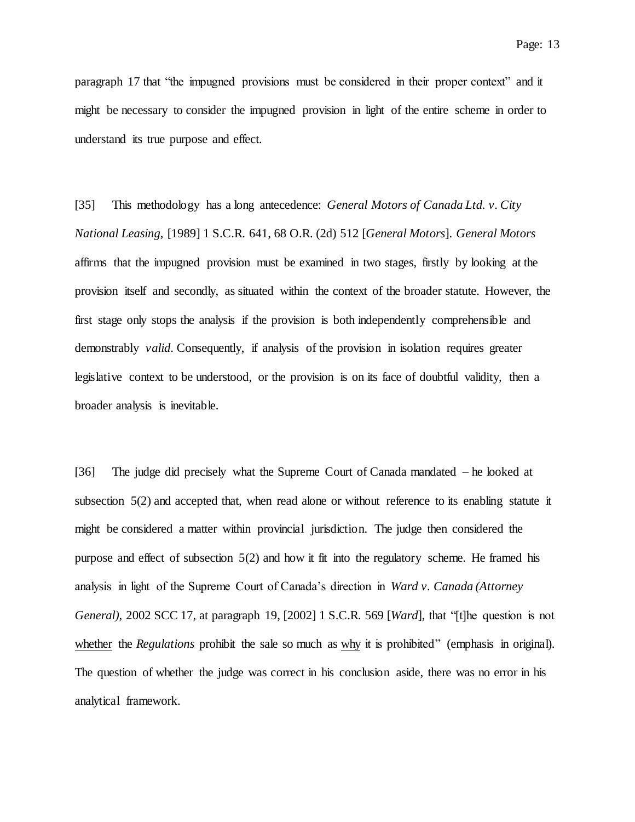paragraph 17 that "the impugned provisions must be considered in their proper context" and it might be necessary to consider the impugned provision in light of the entire scheme in order to understand its true purpose and effect.

[35] This methodology has a long antecedence: *General Motors of Canada Ltd. v. City National Leasing*, [1989] 1 S.C.R. 641, 68 O.R. (2d) 512 [*General Motors*]. *General Motors* affirms that the impugned provision must be examined in two stages, firstly by looking at the provision itself and secondly, as situated within the context of the broader statute. However, the first stage only stops the analysis if the provision is both independently comprehensible and demonstrably *valid*. Consequently, if analysis of the provision in isolation requires greater legislative context to be understood, or the provision is on its face of doubtful validity, then a broader analysis is inevitable.

[36] The judge did precisely what the Supreme Court of Canada mandated – he looked at subsection 5(2) and accepted that, when read alone or without reference to its enabling statute it might be considered a matter within provincial jurisdiction. The judge then considered the purpose and effect of subsection 5(2) and how it fit into the regulatory scheme. He framed his analysis in light of the Supreme Court of Canada's direction in *Ward v. Canada (Attorney General)*, 2002 SCC 17, at paragraph 19, [2002] 1 S.C.R. 569 [*Ward*], that "[t]he question is not whether the *Regulations* prohibit the sale so much as why it is prohibited" (emphasis in original). The question of whether the judge was correct in his conclusion aside, there was no error in his analytical framework.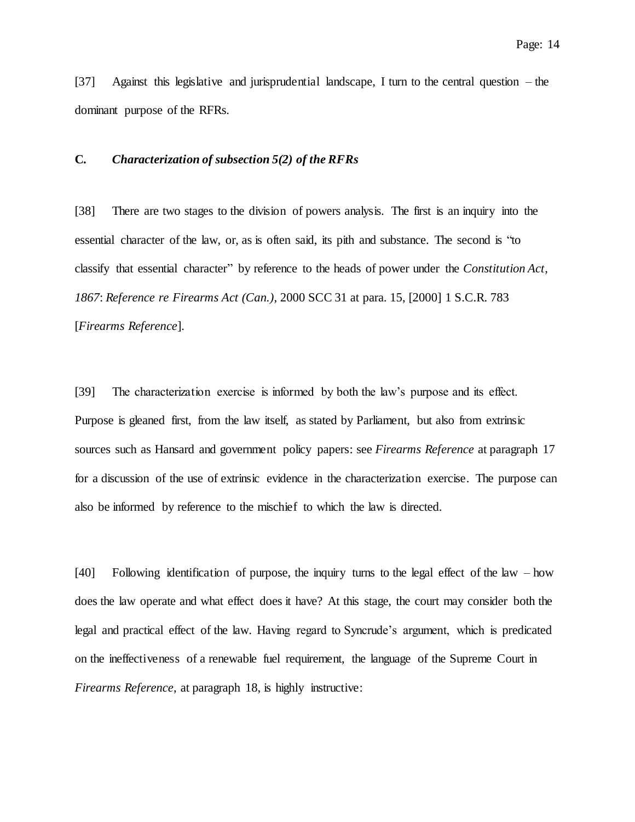[37] Against this legislative and jurisprudential landscape, I turn to the central question – the dominant purpose of the RFRs.

# **C.** *Characterization of subsection 5(2) of the RFRs*

[38] There are two stages to the division of powers analysis. The first is an inquiry into the essential character of the law, or, as is often said, its pith and substance. The second is "to classify that essential character" by reference to the heads of power under the *Constitution Act, 1867*: *Reference re Firearms Act (Can.)*, 2000 SCC 31 at para. 15, [2000] 1 S.C.R. 783 [*Firearms Reference*].

[39] The characterization exercise is informed by both the law's purpose and its effect. Purpose is gleaned first, from the law itself, as stated by Parliament, but also from extrinsic sources such as Hansard and government policy papers: see *Firearms Reference* at paragraph 17 for a discussion of the use of extrinsic evidence in the characterization exercise. The purpose can also be informed by reference to the mischief to which the law is directed.

[40] Following identification of purpose, the inquiry turns to the legal effect of the law – how does the law operate and what effect does it have? At this stage, the court may consider both the legal and practical effect of the law. Having regard to Syncrude's argument, which is predicated on the ineffectiveness of a renewable fuel requirement, the language of the Supreme Court in *Firearms Reference*, at paragraph 18, is highly instructive: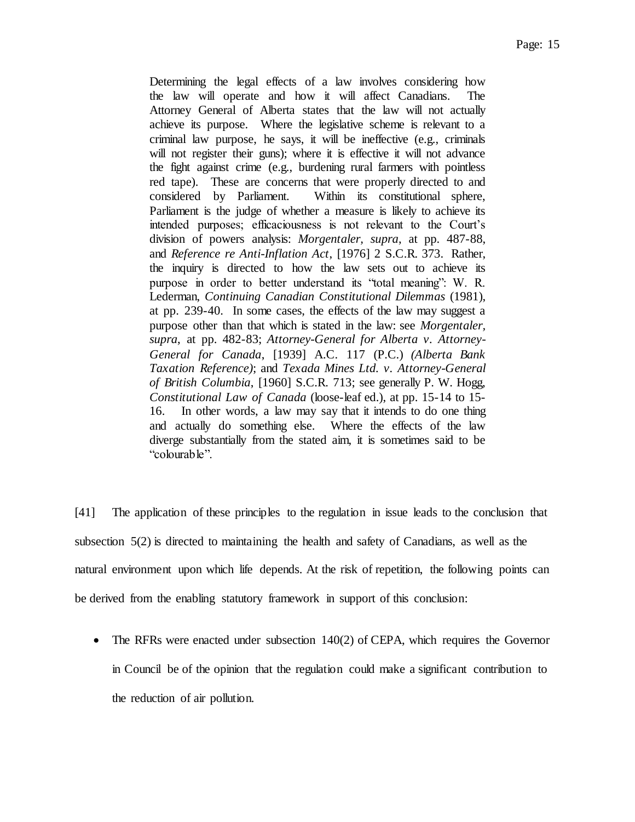Determining the legal effects of a law involves considering how the law will operate and how it will affect Canadians. The Attorney General of Alberta states that the law will not actually achieve its purpose. Where the legislative scheme is relevant to a criminal law purpose, he says, it will be ineffective (e.g., criminals will not register their guns); where it is effective it will not advance the fight against crime (e.g., burdening rural farmers with pointless red tape). These are concerns that were properly directed to and considered by Parliament. Within its constitutional sphere, Parliament is the judge of whether a measure is likely to achieve its intended purposes; efficaciousness is not relevant to the Court's division of powers analysis: *Morgentaler, supra*, at pp. 487-88, and *Reference re Anti-Inflation Act*, [1976] 2 S.C.R. 373. Rather, the inquiry is directed to how the law sets out to achieve its purpose in order to better understand its "total meaning": W. R. Lederman, *Continuing Canadian Constitutional Dilemmas* (1981), at pp. 239-40. In some cases, the effects of the law may suggest a purpose other than that which is stated in the law: see *Morgentaler, supra*, at pp. 482-83; *Attorney-General for Alberta v. Attorney-General for Canada*, [1939] A.C. 117 (P.C.) *(Alberta Bank Taxation Reference)*; and *Texada Mines Ltd. v. Attorney-General of British Columbia*, [1960] S.C.R. 713; see generally P. W. Hogg, *Constitutional Law of Canada* (loose-leaf ed.), at pp. 15-14 to 15- 16. In other words, a law may say that it intends to do one thing and actually do something else. Where the effects of the law diverge substantially from the stated aim, it is sometimes said to be "colourable".

[41] The application of these principles to the regulation in issue leads to the conclusion that subsection 5(2) is directed to maintaining the health and safety of Canadians, as well as the natural environment upon which life depends. At the risk of repetition, the following points can be derived from the enabling statutory framework in support of this conclusion:

• The RFRs were enacted under subsection 140(2) of CEPA, which requires the Governor in Council be of the opinion that the regulation could make a significant contribution to the reduction of air pollution.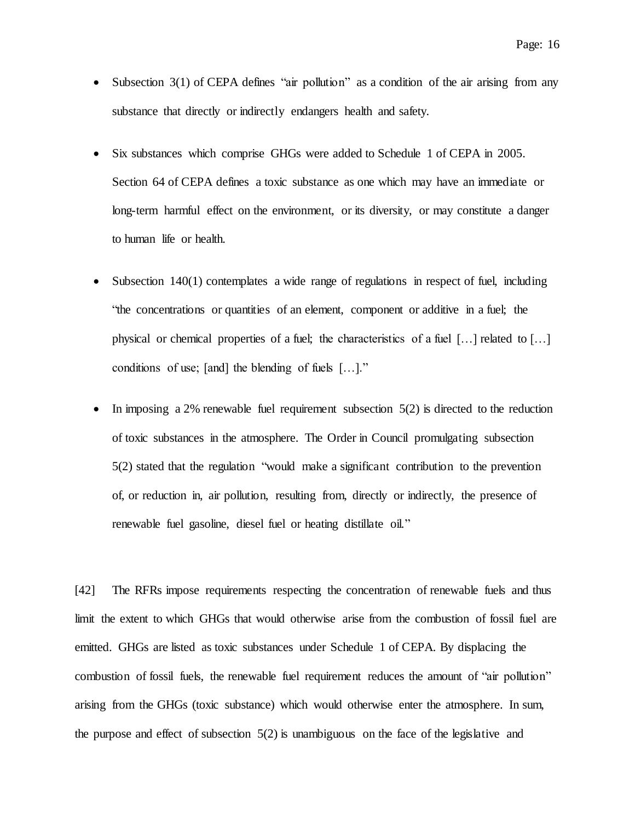- Subsection 3(1) of CEPA defines "air pollution" as a condition of the air arising from any substance that directly or indirectly endangers health and safety.
- Six substances which comprise GHGs were added to Schedule 1 of CEPA in 2005. Section 64 of CEPA defines a toxic substance as one which may have an immediate or long-term harmful effect on the environment, or its diversity, or may constitute a danger to human life or health.
- Subsection 140(1) contemplates a wide range of regulations in respect of fuel, including "the concentrations or quantities of an element, component or additive in a fuel; the physical or chemical properties of a fuel; the characteristics of a fuel […] related to […] conditions of use; [and] the blending of fuels […]."
- In imposing a 2% renewable fuel requirement subsection  $5(2)$  is directed to the reduction of toxic substances in the atmosphere. The Order in Council promulgating subsection 5(2) stated that the regulation "would make a significant contribution to the prevention of, or reduction in, air pollution, resulting from, directly or indirectly, the presence of renewable fuel gasoline, diesel fuel or heating distillate oil."

[42] The RFRs impose requirements respecting the concentration of renewable fuels and thus limit the extent to which GHGs that would otherwise arise from the combustion of fossil fuel are emitted. GHGs are listed as toxic substances under Schedule 1 of CEPA. By displacing the combustion of fossil fuels, the renewable fuel requirement reduces the amount of "air pollution" arising from the GHGs (toxic substance) which would otherwise enter the atmosphere. In sum, the purpose and effect of subsection 5(2) is unambiguous on the face of the legislative and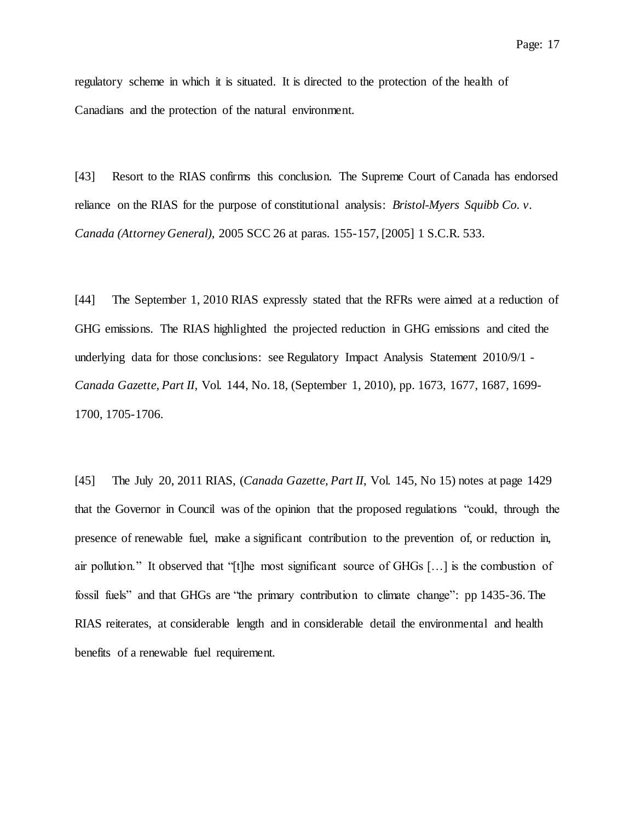regulatory scheme in which it is situated. It is directed to the protection of the health of Canadians and the protection of the natural environment.

[43] Resort to the RIAS confirms this conclusion. The Supreme Court of Canada has endorsed reliance on the RIAS for the purpose of constitutional analysis: *Bristol-Myers Squibb Co. v. Canada (Attorney General)*, 2005 SCC 26 at paras. 155-157, [2005] 1 S.C.R. 533.

[44] The September 1, 2010 RIAS expressly stated that the RFRs were aimed at a reduction of GHG emissions. The RIAS highlighted the projected reduction in GHG emissions and cited the underlying data for those conclusions: see Regulatory Impact Analysis Statement 2010/9/1 - *Canada Gazette, Part II*, Vol. 144, No. 18, (September 1, 2010), pp. 1673, 1677, 1687, 1699- 1700, 1705-1706.

[45] The July 20, 2011 RIAS, (*Canada Gazette, Part II*, Vol. 145, No 15) notes at page 1429 that the Governor in Council was of the opinion that the proposed regulations "could, through the presence of renewable fuel, make a significant contribution to the prevention of, or reduction in, air pollution." It observed that "[t]he most significant source of GHGs […] is the combustion of fossil fuels" and that GHGs are "the primary contribution to climate change": pp 1435-36. The RIAS reiterates, at considerable length and in considerable detail the environmental and health benefits of a renewable fuel requirement.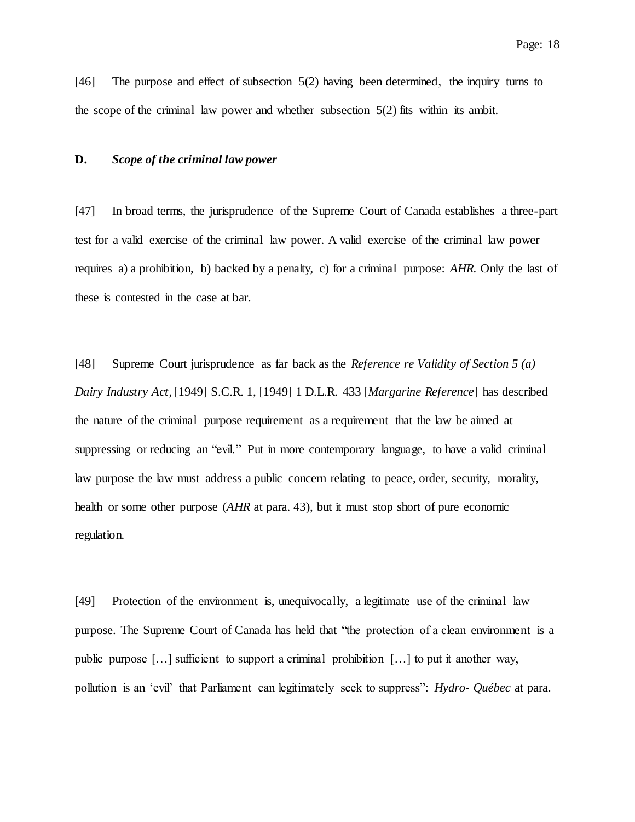[46] The purpose and effect of subsection 5(2) having been determined, the inquiry turns to the scope of the criminal law power and whether subsection 5(2) fits within its ambit.

#### **D.** *Scope of the criminal law power*

[47] In broad terms, the jurisprudence of the Supreme Court of Canada establishes a three-part test for a valid exercise of the criminal law power. A valid exercise of the criminal law power requires a) a prohibition, b) backed by a penalty, c) for a criminal purpose: *AHR*. Only the last of these is contested in the case at bar.

[48] Supreme Court jurisprudence as far back as the *Reference re Validity of Section 5 (a) Dairy Industry Act*, [1949] S.C.R. 1, [1949] 1 D.L.R. 433 [*Margarine Reference*] has described the nature of the criminal purpose requirement as a requirement that the law be aimed at suppressing or reducing an "evil." Put in more contemporary language, to have a valid criminal law purpose the law must address a public concern relating to peace, order, security, morality, health or some other purpose (*AHR* at para. 43), but it must stop short of pure economic regulation.

[49] Protection of the environment is, unequivocally, a legitimate use of the criminal law purpose. The Supreme Court of Canada has held that "the protection of a clean environment is a public purpose […] sufficient to support a criminal prohibition […] to put it another way, pollution is an 'evil' that Parliament can legitimately seek to suppress": *Hydro- Québec* at para.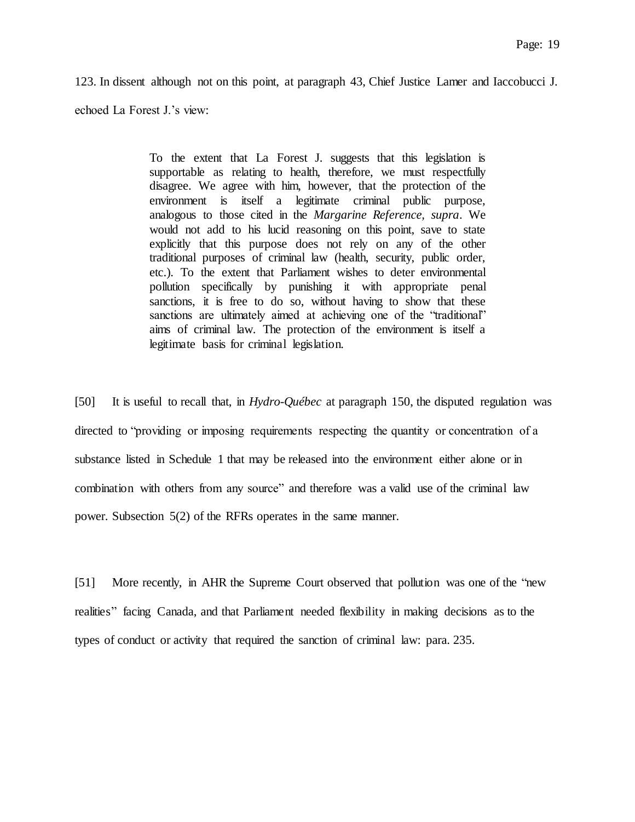123. In dissent although not on this point, at paragraph 43, Chief Justice Lamer and Iaccobucci J.

echoed La Forest J.'s view:

To the extent that La Forest J. suggests that this legislation is supportable as relating to health, therefore, we must respectfully disagree. We agree with him, however, that the protection of the environment is itself a legitimate criminal public purpose, analogous to those cited in the *Margarine Reference, supra*. We would not add to his lucid reasoning on this point, save to state explicitly that this purpose does not rely on any of the other traditional purposes of criminal law (health, security, public order, etc.). To the extent that Parliament wishes to deter environmental pollution specifically by punishing it with appropriate penal sanctions, it is free to do so, without having to show that these sanctions are ultimately aimed at achieving one of the "traditional" aims of criminal law. The protection of the environment is itself a legitimate basis for criminal legislation.

[50] It is useful to recall that, in *Hydro-Québec* at paragraph 150, the disputed regulation was directed to "providing or imposing requirements respecting the quantity or concentration of a substance listed in Schedule 1 that may be released into the environment either alone or in combination with others from any source" and therefore was a valid use of the criminal law power. Subsection 5(2) of the RFRs operates in the same manner.

[51] More recently, in AHR the Supreme Court observed that pollution was one of the "new realities" facing Canada, and that Parliament needed flexibility in making decisions as to the types of conduct or activity that required the sanction of criminal law: para. 235.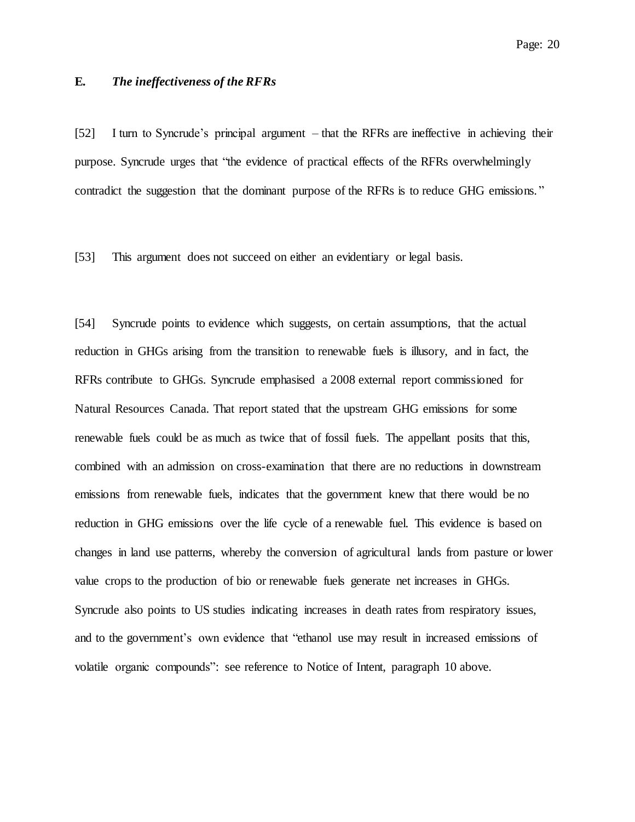# **E.** *The ineffectiveness of the RFRs*

[52] I turn to Syncrude's principal argument – that the RFRs are ineffective in achieving their purpose. Syncrude urges that "the evidence of practical effects of the RFRs overwhelmingly contradict the suggestion that the dominant purpose of the RFRs is to reduce GHG emissions. "

[53] This argument does not succeed on either an evidentiary or legal basis.

[54] Syncrude points to evidence which suggests, on certain assumptions, that the actual reduction in GHGs arising from the transition to renewable fuels is illusory, and in fact, the RFRs contribute to GHGs. Syncrude emphasised a 2008 external report commissioned for Natural Resources Canada. That report stated that the upstream GHG emissions for some renewable fuels could be as much as twice that of fossil fuels. The appellant posits that this, combined with an admission on cross-examination that there are no reductions in downstream emissions from renewable fuels, indicates that the government knew that there would be no reduction in GHG emissions over the life cycle of a renewable fuel. This evidence is based on changes in land use patterns, whereby the conversion of agricultural lands from pasture or lower value crops to the production of bio or renewable fuels generate net increases in GHGs. Syncrude also points to US studies indicating increases in death rates from respiratory issues, and to the government's own evidence that "ethanol use may result in increased emissions of volatile organic compounds": see reference to Notice of Intent, paragraph 10 above.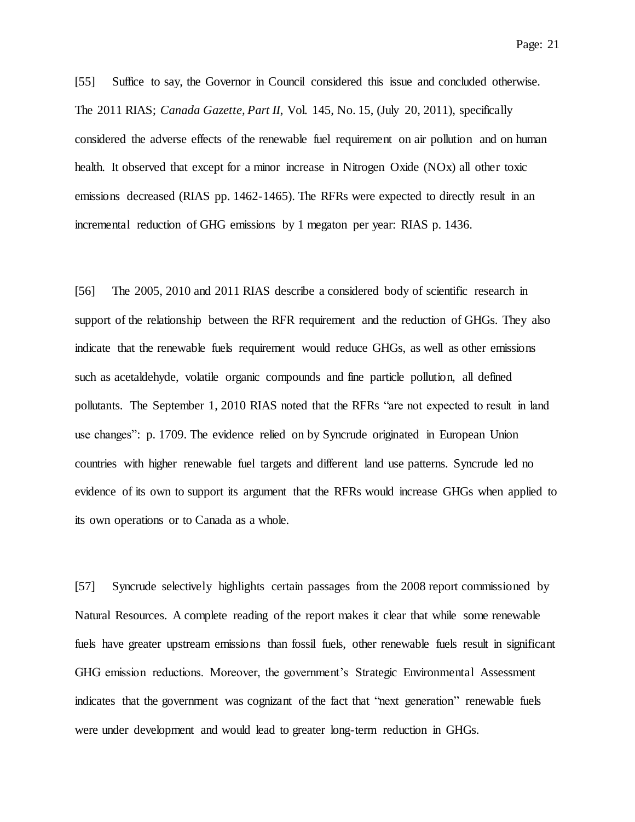Page: 21

[55] Suffice to say, the Governor in Council considered this issue and concluded otherwise. The 2011 RIAS; *Canada Gazette, Part II*, Vol. 145, No. 15, (July 20, 2011), specifically considered the adverse effects of the renewable fuel requirement on air pollution and on human health. It observed that except for a minor increase in Nitrogen Oxide (NOx) all other toxic emissions decreased (RIAS pp. 1462-1465). The RFRs were expected to directly result in an incremental reduction of GHG emissions by 1 megaton per year: RIAS p. 1436.

[56] The 2005, 2010 and 2011 RIAS describe a considered body of scientific research in support of the relationship between the RFR requirement and the reduction of GHGs. They also indicate that the renewable fuels requirement would reduce GHGs, as well as other emissions such as acetaldehyde, volatile organic compounds and fine particle pollution, all defined pollutants. The September 1, 2010 RIAS noted that the RFRs "are not expected to result in land use changes": p. 1709. The evidence relied on by Syncrude originated in European Union countries with higher renewable fuel targets and different land use patterns. Syncrude led no evidence of its own to support its argument that the RFRs would increase GHGs when applied to its own operations or to Canada as a whole.

[57] Syncrude selectively highlights certain passages from the 2008 report commissioned by Natural Resources. A complete reading of the report makes it clear that while some renewable fuels have greater upstream emissions than fossil fuels, other renewable fuels result in significant GHG emission reductions. Moreover, the government's Strategic Environmental Assessment indicates that the government was cognizant of the fact that "next generation" renewable fuels were under development and would lead to greater long-term reduction in GHGs.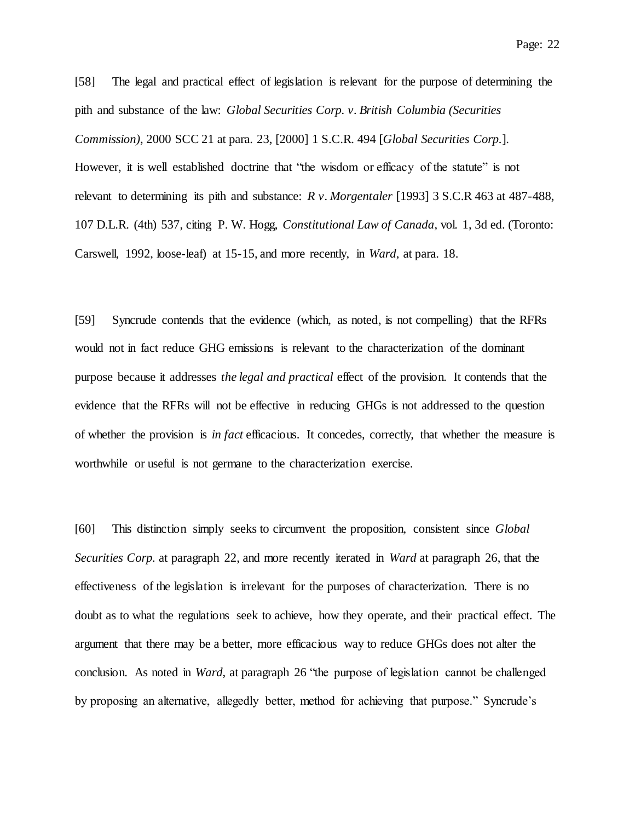[58] The legal and practical effect of legislation is relevant for the purpose of determining the pith and substance of the law: *Global Securities Corp. v. British Columbia (Securities Commission)*, 2000 SCC 21 at para. 23, [2000] 1 S.C.R. 494 [*Global Securities Corp.*]. However, it is well established doctrine that "the wisdom or efficacy of the statute" is not relevant to determining its pith and substance: *R v. Morgentaler* [1993] 3 S.C.R 463 at 487-488, 107 D.L.R. (4th) 537, citing P. W. Hogg, *Constitutional Law of Canada*, vol. 1, 3d ed. (Toronto: Carswell, 1992, loose-leaf) at 15-15, and more recently, in *Ward*, at para. 18.

[59] Syncrude contends that the evidence (which, as noted, is not compelling) that the RFRs would not in fact reduce GHG emissions is relevant to the characterization of the dominant purpose because it addresses *the legal and practical* effect of the provision. It contends that the evidence that the RFRs will not be effective in reducing GHGs is not addressed to the question of whether the provision is *in fact* efficacious. It concedes, correctly, that whether the measure is worthwhile or useful is not germane to the characterization exercise.

[60] This distinction simply seeks to circumvent the proposition, consistent since *Global Securities Corp.* at paragraph 22, and more recently iterated in *Ward* at paragraph 26, that the effectiveness of the legislation is irrelevant for the purposes of characterization. There is no doubt as to what the regulations seek to achieve, how they operate, and their practical effect. The argument that there may be a better, more efficacious way to reduce GHGs does not alter the conclusion. As noted in *Ward*, at paragraph 26 "the purpose of legislation cannot be challenged by proposing an alternative, allegedly better, method for achieving that purpose." Syncrude's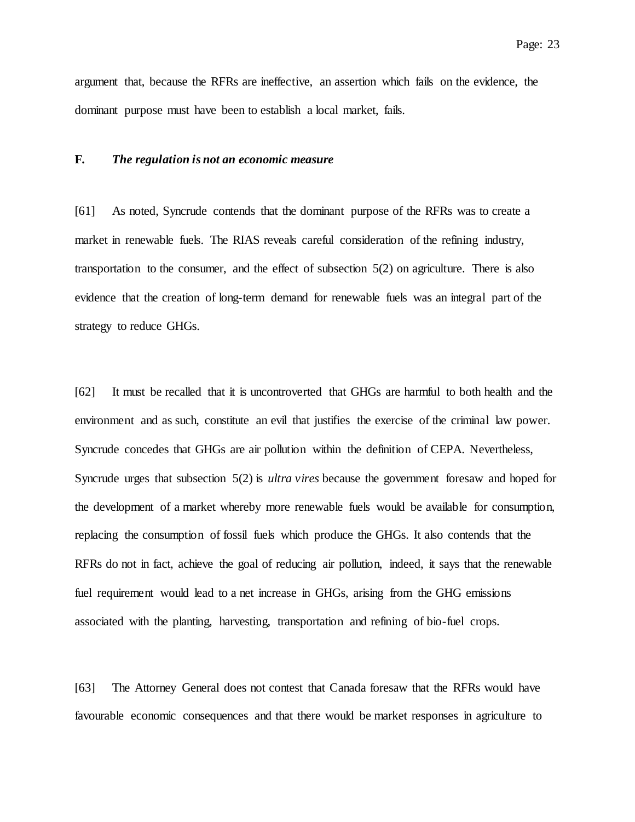argument that, because the RFRs are ineffective, an assertion which fails on the evidence, the dominant purpose must have been to establish a local market, fails.

### **F.** *The regulation is not an economic measure*

[61] As noted, Syncrude contends that the dominant purpose of the RFRs was to create a market in renewable fuels. The RIAS reveals careful consideration of the refining industry, transportation to the consumer, and the effect of subsection 5(2) on agriculture. There is also evidence that the creation of long-term demand for renewable fuels was an integral part of the strategy to reduce GHGs.

[62] It must be recalled that it is uncontroverted that GHGs are harmful to both health and the environment and as such, constitute an evil that justifies the exercise of the criminal law power. Syncrude concedes that GHGs are air pollution within the definition of CEPA. Nevertheless, Syncrude urges that subsection 5(2) is *ultra vires* because the government foresaw and hoped for the development of a market whereby more renewable fuels would be available for consumption, replacing the consumption of fossil fuels which produce the GHGs. It also contends that the RFRs do not in fact, achieve the goal of reducing air pollution, indeed, it says that the renewable fuel requirement would lead to a net increase in GHGs, arising from the GHG emissions associated with the planting, harvesting, transportation and refining of bio-fuel crops.

[63] The Attorney General does not contest that Canada foresaw that the RFRs would have favourable economic consequences and that there would be market responses in agriculture to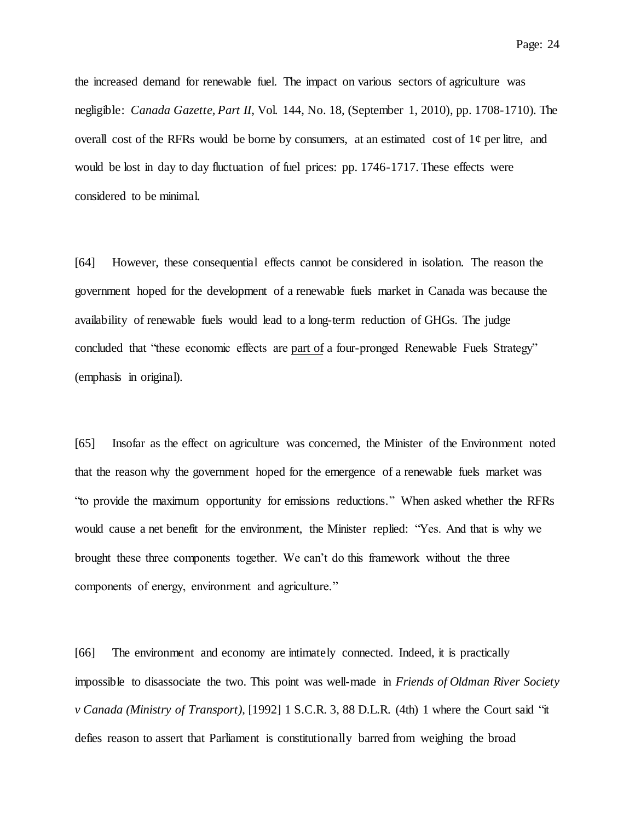Page: 24

the increased demand for renewable fuel. The impact on various sectors of agriculture was negligible: *Canada Gazette, Part II*, Vol. 144, No. 18, (September 1, 2010), pp. 1708-1710). The overall cost of the RFRs would be borne by consumers, at an estimated cost of  $1¢$  per litre, and would be lost in day to day fluctuation of fuel prices: pp. 1746-1717. These effects were considered to be minimal.

[64] However, these consequential effects cannot be considered in isolation. The reason the government hoped for the development of a renewable fuels market in Canada was because the availability of renewable fuels would lead to a long-term reduction of GHGs. The judge concluded that "these economic effects are part of a four-pronged Renewable Fuels Strategy" (emphasis in original).

[65] Insofar as the effect on agriculture was concerned, the Minister of the Environment noted that the reason why the government hoped for the emergence of a renewable fuels market was "to provide the maximum opportunity for emissions reductions." When asked whether the RFRs would cause a net benefit for the environment, the Minister replied: "Yes. And that is why we brought these three components together. We can't do this framework without the three components of energy, environment and agriculture."

[66] The environment and economy are intimately connected. Indeed, it is practically impossible to disassociate the two. This point was well-made in *Friends of Oldman River Society v Canada (Ministry of Transport)*, [1992] 1 S.C.R. 3, 88 D.L.R. (4th) 1 where the Court said "it defies reason to assert that Parliament is constitutionally barred from weighing the broad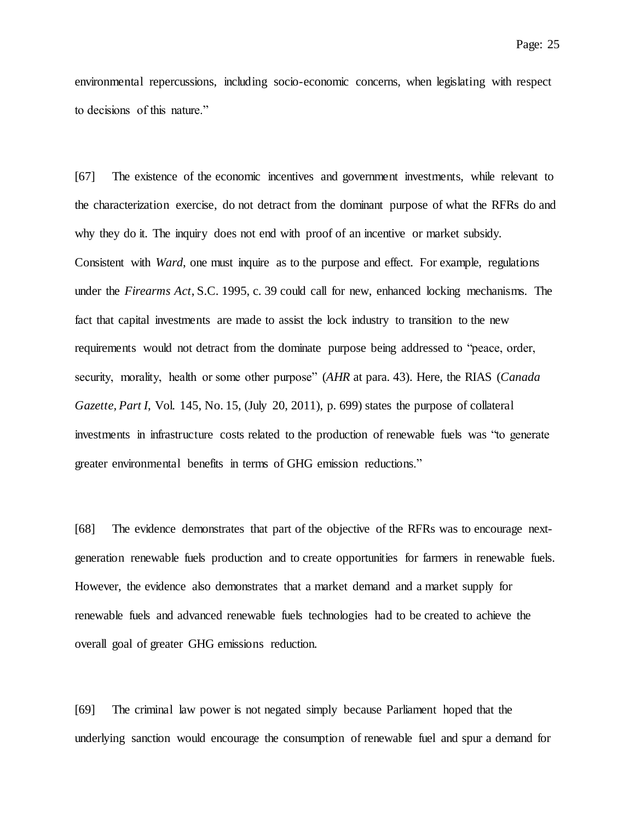environmental repercussions, including socio-economic concerns, when legislating with respect to decisions of this nature."

[67] The existence of the economic incentives and government investments, while relevant to the characterization exercise, do not detract from the dominant purpose of what the RFRs do and why they do it. The inquiry does not end with proof of an incentive or market subsidy. Consistent with *Ward*, one must inquire as to the purpose and effect. For example, regulations under the *Firearms Act*, S.C. 1995, c. 39 could call for new, enhanced locking mechanisms. The fact that capital investments are made to assist the lock industry to transition to the new requirements would not detract from the dominate purpose being addressed to "peace, order, security, morality, health or some other purpose" (*AHR* at para. 43). Here, the RIAS (*Canada Gazette, Part I*, Vol. 145, No. 15, (July 20, 2011), p. 699) states the purpose of collateral investments in infrastructure costs related to the production of renewable fuels was "to generate greater environmental benefits in terms of GHG emission reductions."

[68] The evidence demonstrates that part of the objective of the RFRs was to encourage nextgeneration renewable fuels production and to create opportunities for farmers in renewable fuels. However, the evidence also demonstrates that a market demand and a market supply for renewable fuels and advanced renewable fuels technologies had to be created to achieve the overall goal of greater GHG emissions reduction.

[69] The criminal law power is not negated simply because Parliament hoped that the underlying sanction would encourage the consumption of renewable fuel and spur a demand for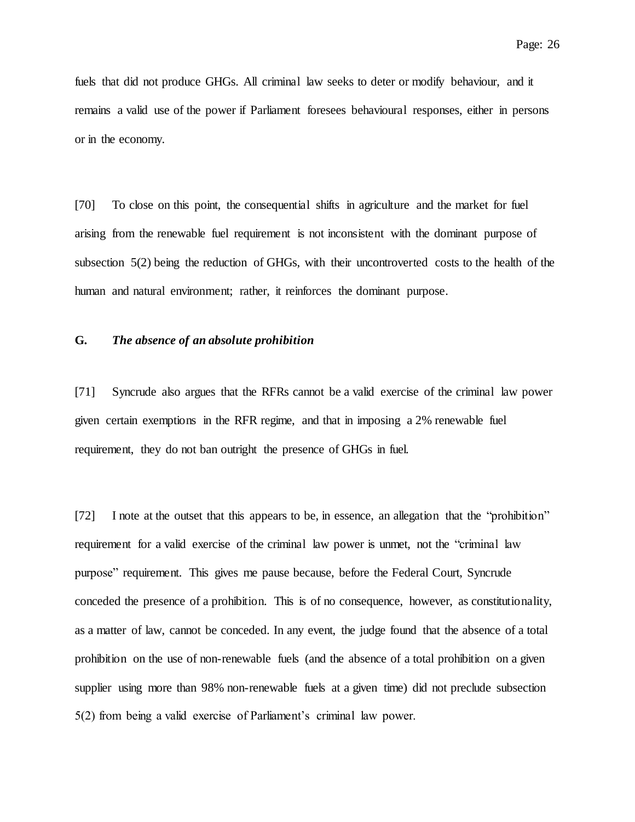fuels that did not produce GHGs. All criminal law seeks to deter or modify behaviour, and it remains a valid use of the power if Parliament foresees behavioural responses, either in persons or in the economy.

[70] To close on this point, the consequential shifts in agriculture and the market for fuel arising from the renewable fuel requirement is not inconsistent with the dominant purpose of subsection 5(2) being the reduction of GHGs, with their uncontroverted costs to the health of the human and natural environment; rather, it reinforces the dominant purpose.

# **G.** *The absence of an absolute prohibition*

[71] Syncrude also argues that the RFRs cannot be a valid exercise of the criminal law power given certain exemptions in the RFR regime, and that in imposing a 2% renewable fuel requirement, they do not ban outright the presence of GHGs in fuel.

[72] I note at the outset that this appears to be, in essence, an allegation that the "prohibition" requirement for a valid exercise of the criminal law power is unmet, not the "criminal law purpose" requirement. This gives me pause because, before the Federal Court, Syncrude conceded the presence of a prohibition. This is of no consequence, however, as constitutionality, as a matter of law, cannot be conceded. In any event, the judge found that the absence of a total prohibition on the use of non-renewable fuels (and the absence of a total prohibition on a given supplier using more than 98% non-renewable fuels at a given time) did not preclude subsection 5(2) from being a valid exercise of Parliament's criminal law power.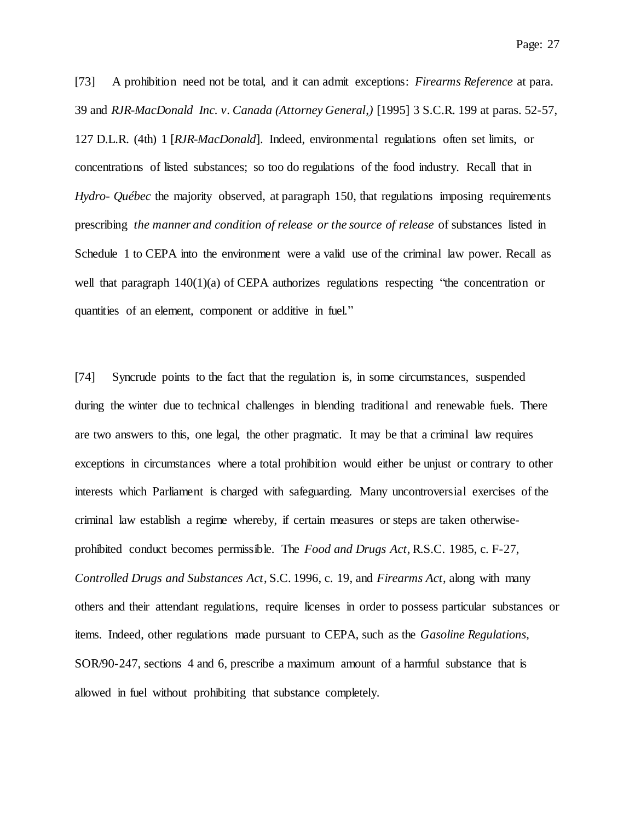[73] A prohibition need not be total, and it can admit exceptions: *Firearms Reference* at para. 39 and *RJR-MacDonald Inc. v. Canada (Attorney General*,*)* [1995] 3 S.C.R. 199 at paras. 52-57, 127 D.L.R. (4th) 1 [*RJR-MacDonald*]. Indeed, environmental regulations often set limits, or concentrations of listed substances; so too do regulations of the food industry. Recall that in *Hydro- Québec* the majority observed, at paragraph 150, that regulations imposing requirements prescribing *the manner and condition of release or the source of release* of substances listed in Schedule 1 to CEPA into the environment were a valid use of the criminal law power. Recall as well that paragraph  $140(1)(a)$  of CEPA authorizes regulations respecting "the concentration or quantities of an element, component or additive in fuel."

[74] Syncrude points to the fact that the regulation is, in some circumstances, suspended during the winter due to technical challenges in blending traditional and renewable fuels. There are two answers to this, one legal, the other pragmatic. It may be that a criminal law requires exceptions in circumstances where a total prohibition would either be unjust or contrary to other interests which Parliament is charged with safeguarding. Many uncontroversial exercises of the criminal law establish a regime whereby, if certain measures or steps are taken otherwiseprohibited conduct becomes permissible. The *Food and Drugs Act*, R.S.C. 1985, c. F-27, *Controlled Drugs and Substances Act*, S.C. 1996, c. 19, and *Firearms Act*, along with many others and their attendant regulations, require licenses in order to possess particular substances or items. Indeed, other regulations made pursuant to CEPA, such as the *Gasoline Regulations*, SOR/90-247, sections 4 and 6, prescribe a maximum amount of a harmful substance that is allowed in fuel without prohibiting that substance completely.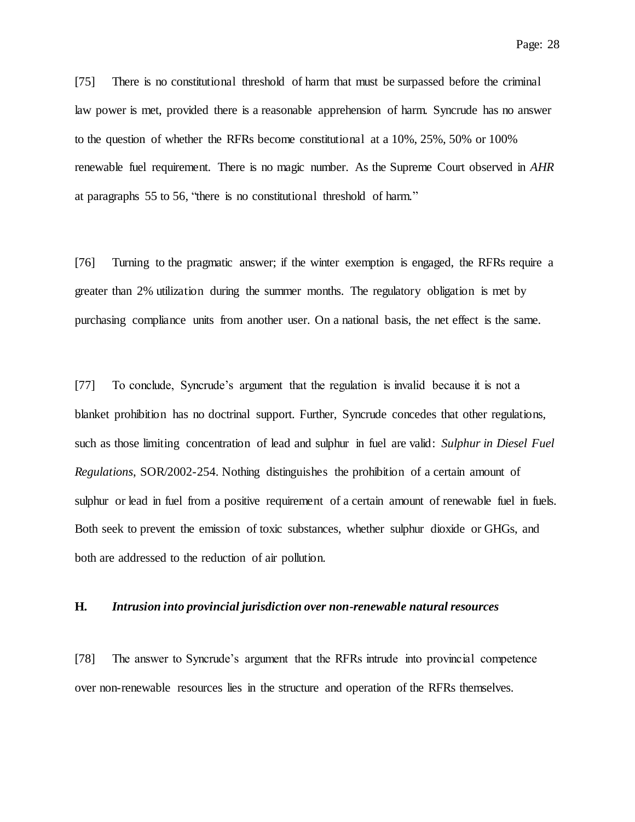[75] There is no constitutional threshold of harm that must be surpassed before the criminal law power is met, provided there is a reasonable apprehension of harm. Syncrude has no answer to the question of whether the RFRs become constitutional at a 10%, 25%, 50% or 100% renewable fuel requirement. There is no magic number. As the Supreme Court observed in *AHR* at paragraphs 55 to 56, "there is no constitutional threshold of harm."

[76] Turning to the pragmatic answer; if the winter exemption is engaged, the RFRs require a greater than 2% utilization during the summer months. The regulatory obligation is met by purchasing compliance units from another user. On a national basis, the net effect is the same.

[77] To conclude, Syncrude's argument that the regulation is invalid because it is not a blanket prohibition has no doctrinal support. Further, Syncrude concedes that other regulations, such as those limiting concentration of lead and sulphur in fuel are valid: *Sulphur in Diesel Fuel Regulations*, SOR/2002-254. Nothing distinguishes the prohibition of a certain amount of sulphur or lead in fuel from a positive requirement of a certain amount of renewable fuel in fuels. Both seek to prevent the emission of toxic substances, whether sulphur dioxide or GHGs, and both are addressed to the reduction of air pollution.

#### **H.** *Intrusion into provincial jurisdiction over non-renewable natural resources*

[78] The answer to Syncrude's argument that the RFRs intrude into provincial competence over non-renewable resources lies in the structure and operation of the RFRs themselves.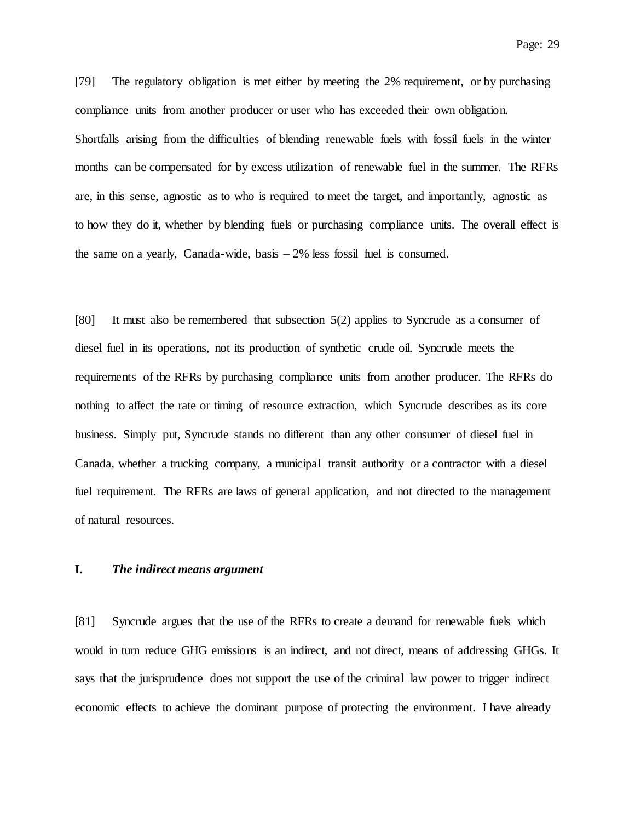Page: 29

[79] The regulatory obligation is met either by meeting the 2% requirement, or by purchasing compliance units from another producer or user who has exceeded their own obligation. Shortfalls arising from the difficulties of blending renewable fuels with fossil fuels in the winter months can be compensated for by excess utilization of renewable fuel in the summer. The RFRs are, in this sense, agnostic as to who is required to meet the target, and importantly, agnostic as to how they do it, whether by blending fuels or purchasing compliance units. The overall effect is the same on a yearly, Canada-wide, basis  $-2\%$  less fossil fuel is consumed.

[80] It must also be remembered that subsection 5(2) applies to Syncrude as a consumer of diesel fuel in its operations, not its production of synthetic crude oil. Syncrude meets the requirements of the RFRs by purchasing compliance units from another producer. The RFRs do nothing to affect the rate or timing of resource extraction, which Syncrude describes as its core business. Simply put, Syncrude stands no different than any other consumer of diesel fuel in Canada, whether a trucking company, a municipal transit authority or a contractor with a diesel fuel requirement. The RFRs are laws of general application, and not directed to the management of natural resources.

#### **I.** *The indirect means argument*

[81] Syncrude argues that the use of the RFRs to create a demand for renewable fuels which would in turn reduce GHG emissions is an indirect, and not direct, means of addressing GHGs. It says that the jurisprudence does not support the use of the criminal law power to trigger indirect economic effects to achieve the dominant purpose of protecting the environment. I have already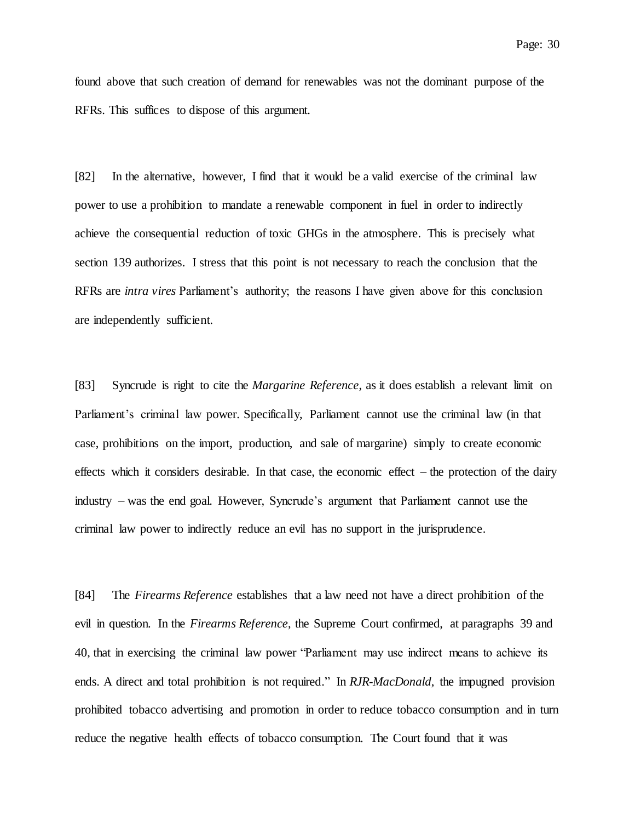found above that such creation of demand for renewables was not the dominant purpose of the RFRs. This suffices to dispose of this argument.

[82] In the alternative, however, I find that it would be a valid exercise of the criminal law power to use a prohibition to mandate a renewable component in fuel in order to indirectly achieve the consequential reduction of toxic GHGs in the atmosphere. This is precisely what section 139 authorizes. I stress that this point is not necessary to reach the conclusion that the RFRs are *intra vires* Parliament's authority; the reasons I have given above for this conclusion are independently sufficient.

[83] Syncrude is right to cite the *Margarine Reference*, as it does establish a relevant limit on Parliament's criminal law power. Specifically, Parliament cannot use the criminal law (in that case, prohibitions on the import, production, and sale of margarine) simply to create economic effects which it considers desirable. In that case, the economic effect  $-$  the protection of the dairy industry – was the end goal. However, Syncrude's argument that Parliament cannot use the criminal law power to indirectly reduce an evil has no support in the jurisprudence.

[84] The *Firearms Reference* establishes that a law need not have a direct prohibition of the evil in question. In the *Firearms Reference*, the Supreme Court confirmed, at paragraphs 39 and 40, that in exercising the criminal law power "Parliament may use indirect means to achieve its ends. A direct and total prohibition is not required." In *RJR-MacDonald*, the impugned provision prohibited tobacco advertising and promotion in order to reduce tobacco consumption and in turn reduce the negative health effects of tobacco consumption. The Court found that it was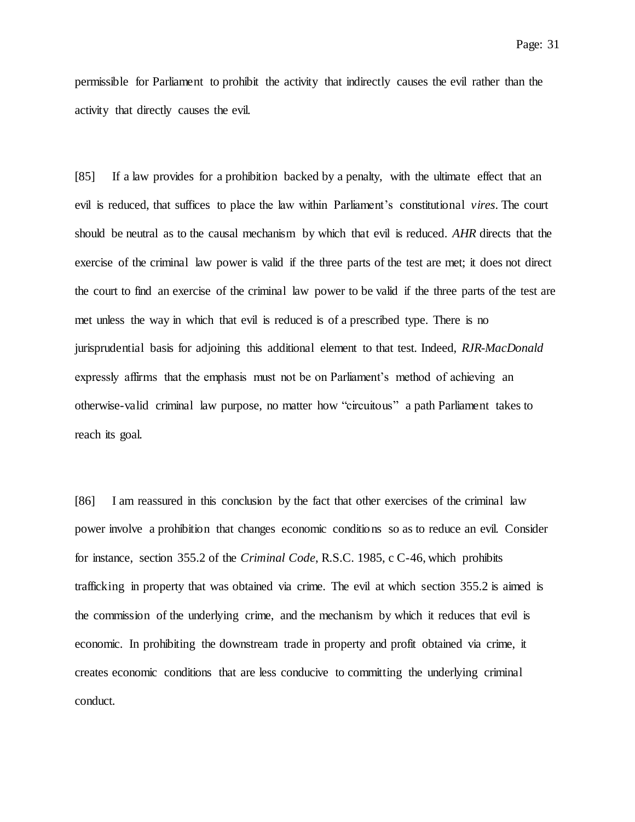permissible for Parliament to prohibit the activity that indirectly causes the evil rather than the activity that directly causes the evil.

[85] If a law provides for a prohibition backed by a penalty, with the ultimate effect that an evil is reduced, that suffices to place the law within Parliament's constitutional *vires*. The court should be neutral as to the causal mechanism by which that evil is reduced. *AHR* directs that the exercise of the criminal law power is valid if the three parts of the test are met; it does not direct the court to find an exercise of the criminal law power to be valid if the three parts of the test are met unless the way in which that evil is reduced is of a prescribed type. There is no jurisprudential basis for adjoining this additional element to that test. Indeed, *RJR-MacDonald* expressly affirms that the emphasis must not be on Parliament's method of achieving an otherwise-valid criminal law purpose, no matter how "circuitous" a path Parliament takes to reach its goal.

[86] I am reassured in this conclusion by the fact that other exercises of the criminal law power involve a prohibition that changes economic conditions so as to reduce an evil. Consider for instance, section 355.2 of the *Criminal Code*, R.S.C. 1985, c C-46, which prohibits trafficking in property that was obtained via crime. The evil at which section 355.2 is aimed is the commission of the underlying crime, and the mechanism by which it reduces that evil is economic. In prohibiting the downstream trade in property and profit obtained via crime, it creates economic conditions that are less conducive to committing the underlying criminal conduct.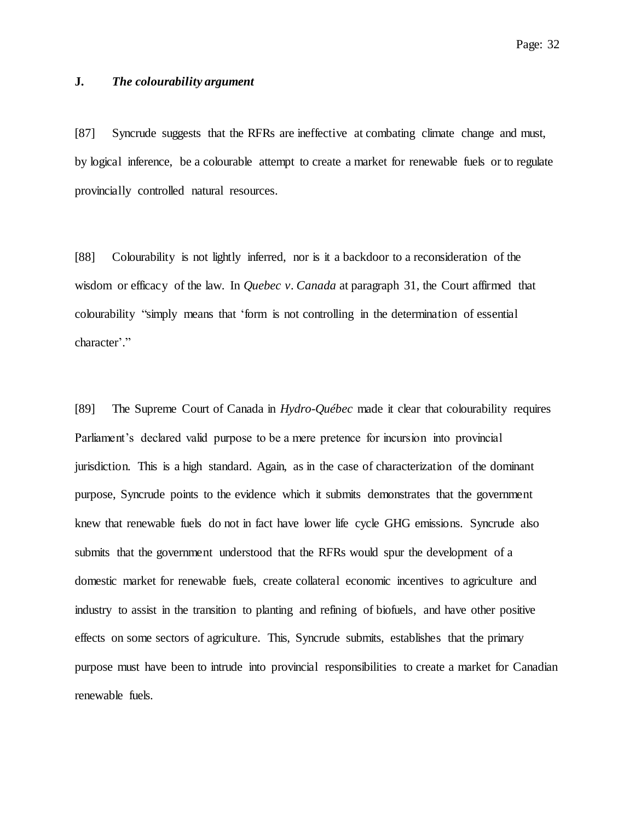# **J.** *The colourability argument*

[87] Syncrude suggests that the RFRs are ineffective at combating climate change and must, by logical inference, be a colourable attempt to create a market for renewable fuels or to regulate provincially controlled natural resources.

[88] Colourability is not lightly inferred, nor is it a backdoor to a reconsideration of the wisdom or efficacy of the law. In *Quebec v. Canada* at paragraph 31, the Court affirmed that colourability "simply means that 'form is not controlling in the determination of essential character'."

[89] The Supreme Court of Canada in *Hydro-Québec* made it clear that colourability requires Parliament's declared valid purpose to be a mere pretence for incursion into provincial jurisdiction. This is a high standard. Again, as in the case of characterization of the dominant purpose, Syncrude points to the evidence which it submits demonstrates that the government knew that renewable fuels do not in fact have lower life cycle GHG emissions. Syncrude also submits that the government understood that the RFRs would spur the development of a domestic market for renewable fuels, create collateral economic incentives to agriculture and industry to assist in the transition to planting and refining of biofuels, and have other positive effects on some sectors of agriculture. This, Syncrude submits, establishes that the primary purpose must have been to intrude into provincial responsibilities to create a market for Canadian renewable fuels.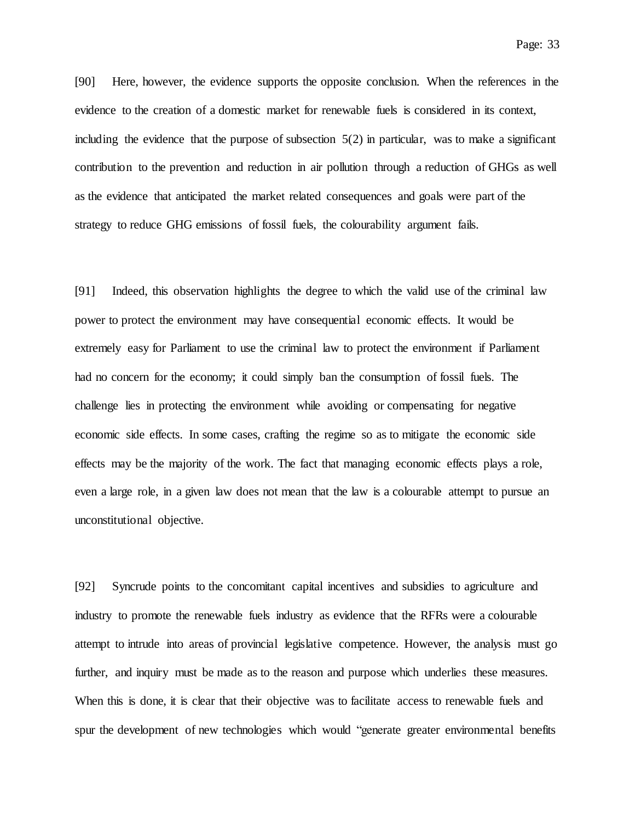Page: 33

[90] Here, however, the evidence supports the opposite conclusion. When the references in the evidence to the creation of a domestic market for renewable fuels is considered in its context, including the evidence that the purpose of subsection  $5(2)$  in particular, was to make a significant contribution to the prevention and reduction in air pollution through a reduction of GHGs as well as the evidence that anticipated the market related consequences and goals were part of the strategy to reduce GHG emissions of fossil fuels, the colourability argument fails.

[91] Indeed, this observation highlights the degree to which the valid use of the criminal law power to protect the environment may have consequential economic effects. It would be extremely easy for Parliament to use the criminal law to protect the environment if Parliament had no concern for the economy; it could simply ban the consumption of fossil fuels. The challenge lies in protecting the environment while avoiding or compensating for negative economic side effects. In some cases, crafting the regime so as to mitigate the economic side effects may be the majority of the work. The fact that managing economic effects plays a role, even a large role, in a given law does not mean that the law is a colourable attempt to pursue an unconstitutional objective.

[92] Syncrude points to the concomitant capital incentives and subsidies to agriculture and industry to promote the renewable fuels industry as evidence that the RFRs were a colourable attempt to intrude into areas of provincial legislative competence. However, the analysis must go further, and inquiry must be made as to the reason and purpose which underlies these measures. When this is done, it is clear that their objective was to facilitate access to renewable fuels and spur the development of new technologies which would "generate greater environmental benefits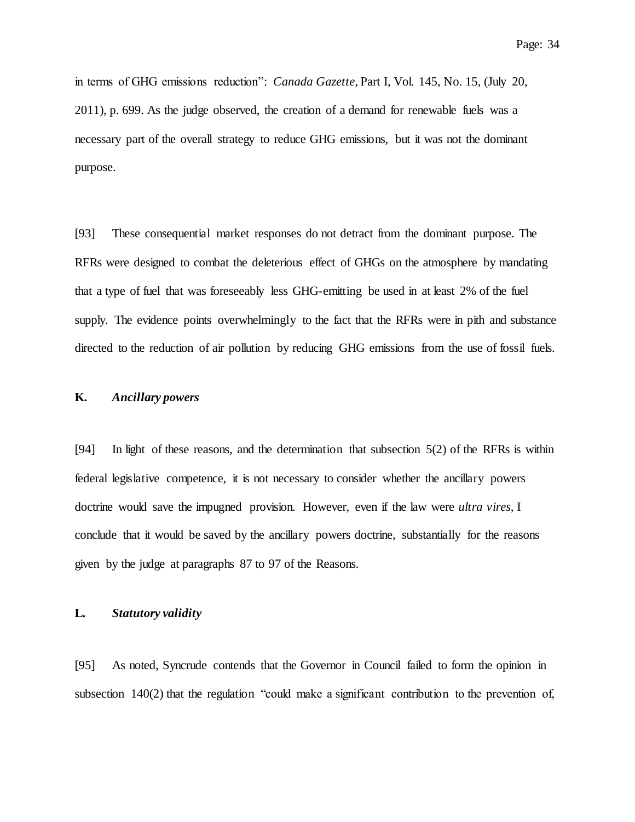in terms of GHG emissions reduction": *Canada Gazette*, Part I, Vol. 145, No. 15, (July 20, 2011), p. 699. As the judge observed, the creation of a demand for renewable fuels was a necessary part of the overall strategy to reduce GHG emissions, but it was not the dominant purpose.

[93] These consequential market responses do not detract from the dominant purpose. The RFRs were designed to combat the deleterious effect of GHGs on the atmosphere by mandating that a type of fuel that was foreseeably less GHG-emitting be used in at least 2% of the fuel supply. The evidence points overwhelmingly to the fact that the RFRs were in pith and substance directed to the reduction of air pollution by reducing GHG emissions from the use of fossil fuels.

# **K.** *Ancillary powers*

[94] In light of these reasons, and the determination that subsection 5(2) of the RFRs is within federal legislative competence, it is not necessary to consider whether the ancillary powers doctrine would save the impugned provision. However, even if the law were *ultra vires*, I conclude that it would be saved by the ancillary powers doctrine, substantially for the reasons given by the judge at paragraphs 87 to 97 of the Reasons.

# **L.** *Statutory validity*

[95] As noted, Syncrude contends that the Governor in Council failed to form the opinion in subsection 140(2) that the regulation "could make a significant contribution to the prevention of,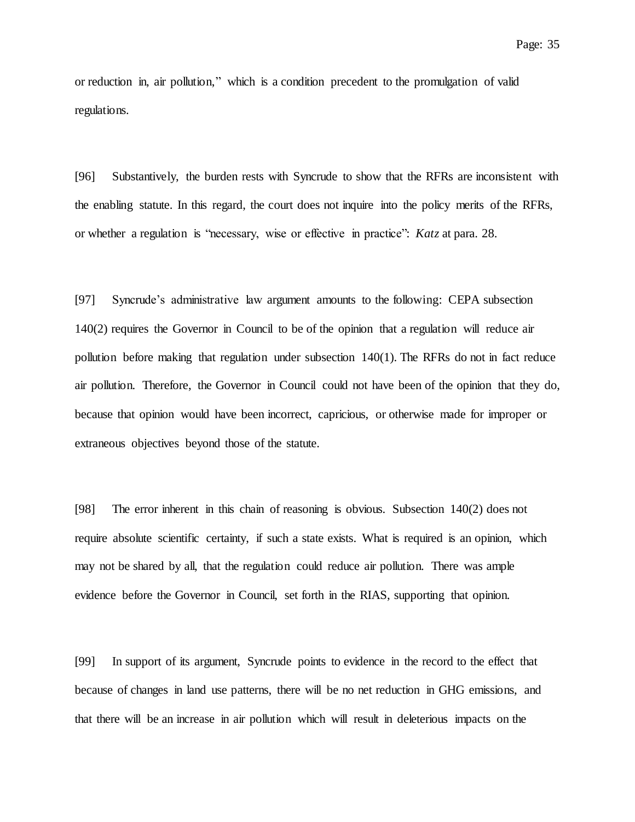or reduction in, air pollution," which is a condition precedent to the promulgation of valid regulations.

[96] Substantively, the burden rests with Syncrude to show that the RFRs are inconsistent with the enabling statute. In this regard, the court does not inquire into the policy merits of the RFRs, or whether a regulation is "necessary, wise or effective in practice": *Katz* at para. 28.

[97] Syncrude's administrative law argument amounts to the following: CEPA subsection 140(2) requires the Governor in Council to be of the opinion that a regulation will reduce air pollution before making that regulation under subsection 140(1). The RFRs do not in fact reduce air pollution. Therefore, the Governor in Council could not have been of the opinion that they do, because that opinion would have been incorrect, capricious, or otherwise made for improper or extraneous objectives beyond those of the statute.

[98] The error inherent in this chain of reasoning is obvious. Subsection 140(2) does not require absolute scientific certainty, if such a state exists. What is required is an opinion, which may not be shared by all, that the regulation could reduce air pollution. There was ample evidence before the Governor in Council, set forth in the RIAS, supporting that opinion.

[99] In support of its argument, Syncrude points to evidence in the record to the effect that because of changes in land use patterns, there will be no net reduction in GHG emissions, and that there will be an increase in air pollution which will result in deleterious impacts on the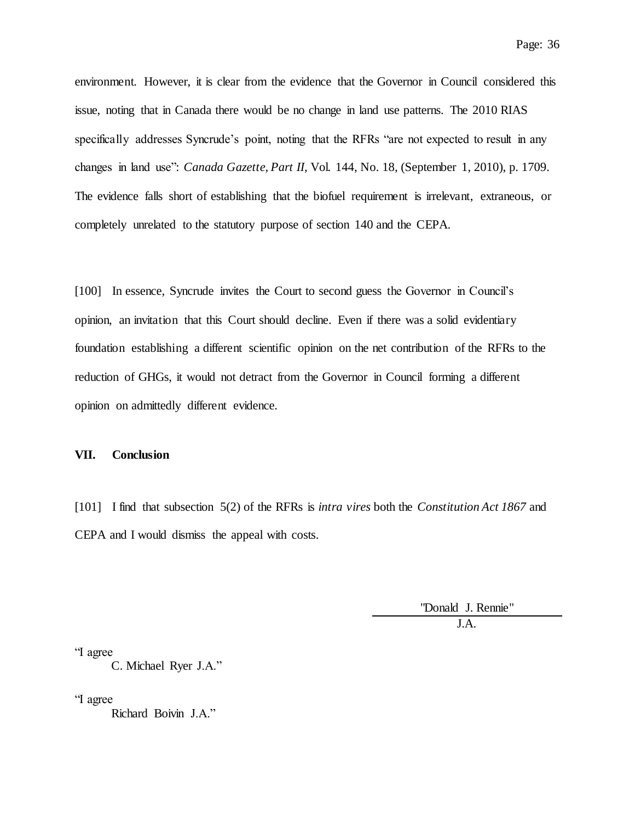environment. However, it is clear from the evidence that the Governor in Council considered this issue, noting that in Canada there would be no change in land use patterns. The 2010 RIAS specifically addresses Syncrude's point, noting that the RFRs "are not expected to result in any changes in land use": *Canada Gazette, Part II*, Vol. 144, No. 18, (September 1, 2010), p. 1709. The evidence falls short of establishing that the biofuel requirement is irrelevant, extraneous, or completely unrelated to the statutory purpose of section 140 and the CEPA.

[100] In essence, Syncrude invites the Court to second guess the Governor in Council's opinion, an invitation that this Court should decline. Even if there was a solid evidentiary foundation establishing a different scientific opinion on the net contribution of the RFRs to the reduction of GHGs, it would not detract from the Governor in Council forming a different opinion on admittedly different evidence.

#### **VII. Conclusion**

[101] I find that subsection 5(2) of the RFRs is *intra vires* both the *Constitution Act 1867* and CEPA and I would dismiss the appeal with costs.

> "Donald J. Rennie" J.A.

"I agree

C. Michael Ryer J.A."

"I agree

Richard Boivin J.A."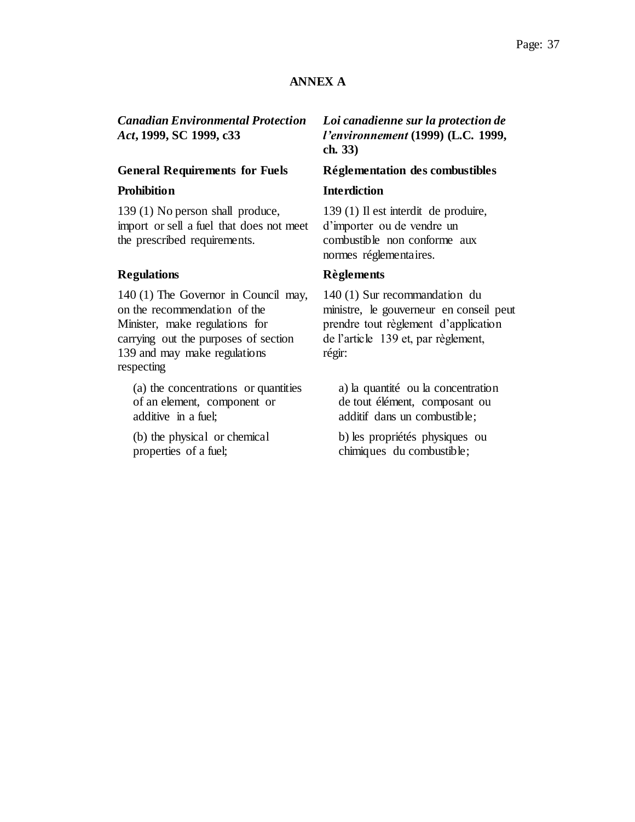# **ANNEX A**

*Canadian Environmental Protection Act***, 1999, SC 1999, c33**

### **General Requirements for Fuels Réglementation des combustibles**

139 (1) No person shall produce, import or sell a fuel that does not meet the prescribed requirements.

# **Regulations Règlements**

140 (1) The Governor in Council may, on the recommendation of the Minister, make regulations for carrying out the purposes of section 139 and may make regulations respecting

(a) the concentrations or quantities of an element, component or additive in a fuel;

(b) the physical or chemical properties of a fuel;

# *Loi canadienne sur la protection de l'environnement* **(1999) (L.C. 1999, ch. 33)**

# **Prohibition Interdiction**

139 (1) Il est interdit de produire, d'importer ou de vendre un combustible non conforme aux normes réglementaires.

140 (1) Sur recommandation du ministre, le gouverneur en conseil peut prendre tout règlement d'application de l'article 139 et, par règlement, régir:

a) la quantité ou la concentration de tout élément, composant ou additif dans un combustible;

b) les propriétés physiques ou chimiques du combustible;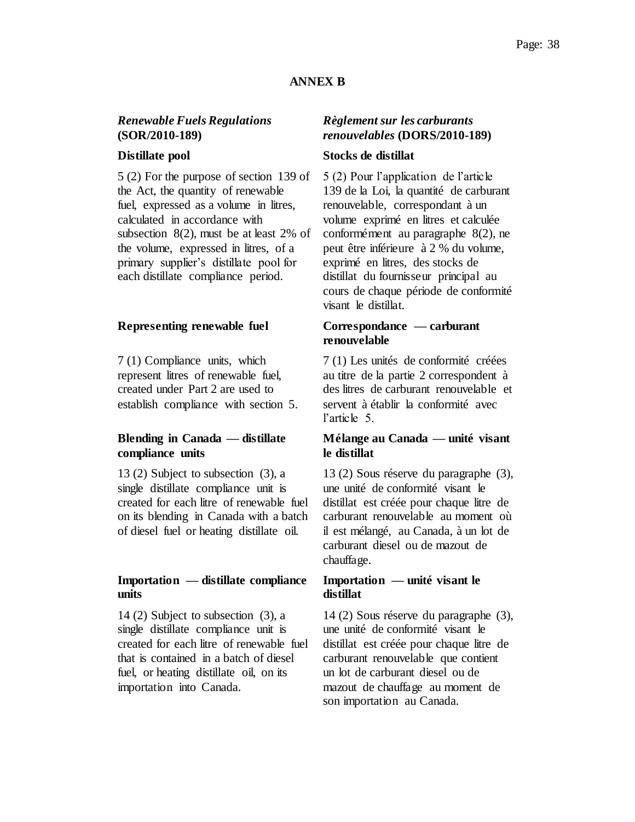# **ANNEX B**

# *Renewable Fuels Regulations* **(SOR/2010-189)**

5 (2) For the purpose of section 139 of the Act, the quantity of renewable fuel, expressed as a volume in litres, calculated in accordance with subsection 8(2), must be at least 2% of the volume, expressed in litres, of a primary supplier's distillate pool for each distillate compliance period.

### **Representing renewable fuel Correspondance — carburant**

7 (1) Compliance units, which represent litres of renewable fuel, created under Part 2 are used to establish compliance with section 5.

# **Blending in Canada — distillate compliance units**

13 (2) Subject to subsection (3), a single distillate compliance unit is created for each litre of renewable fuel on its blending in Canada with a batch of diesel fuel or heating distillate oil.

### **Importation — distillate compliance units**

14 (2) Subject to subsection (3), a single distillate compliance unit is created for each litre of renewable fuel that is contained in a batch of diesel fuel, or heating distillate oil, on its importation into Canada.

# *Règlement sur les carburants renouvelables* **(DORS/2010-189)**

# **Distillate pool Stocks de distillat**

5 (2) Pour l'application de l'article 139 de la Loi, la quantité de carburant renouvelable, correspondant à un volume exprimé en litres et calculée conformément au paragraphe 8(2), ne peut être inférieure à 2 % du volume, exprimé en litres, des stocks de distillat du fournisseur principal au cours de chaque période de conformité visant le distillat.

# **renouvelable**

7 (1) Les unités de conformité créées au titre de la partie 2 correspondent à des litres de carburant renouvelable et servent à établir la conformité avec l'article 5.

# **Mélange au Canada — unité visant le distillat**

13 (2) Sous réserve du paragraphe (3), une unité de conformité visant le distillat est créée pour chaque litre de carburant renouvelable au moment où il est mélangé, au Canada, à un lot de carburant diesel ou de mazout de chauffage.

# **Importation — unité visant le distillat**

14 (2) Sous réserve du paragraphe (3), une unité de conformité visant le distillat est créée pour chaque litre de carburant renouvelable que contient un lot de carburant diesel ou de mazout de chauffage au moment de son importation au Canada.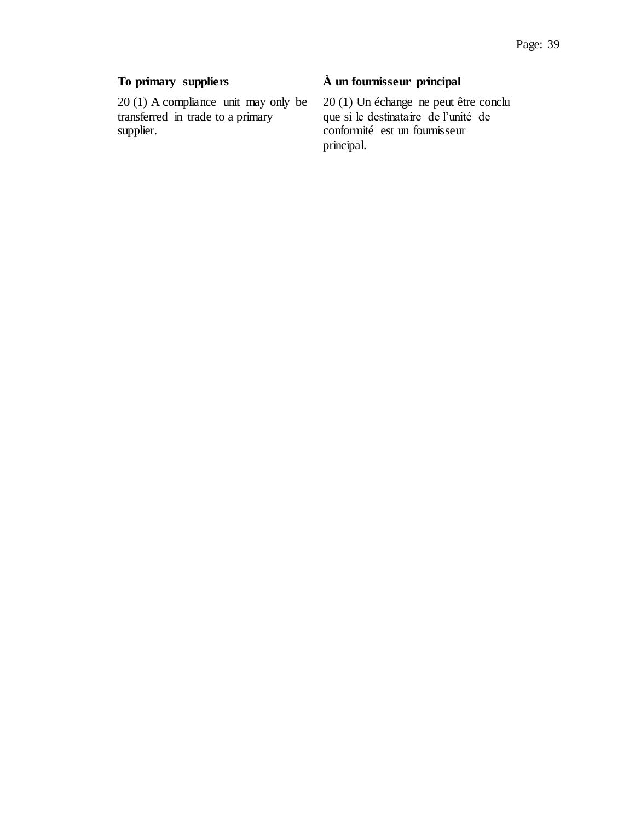20 (1) A compliance unit may only be transferred in trade to a primary supplier.

# **To primary suppliers À un fournisseur principal**

20 (1) Un échange ne peut être conclu que si le destinataire de l'unité de conformité est un fournisseur principal.